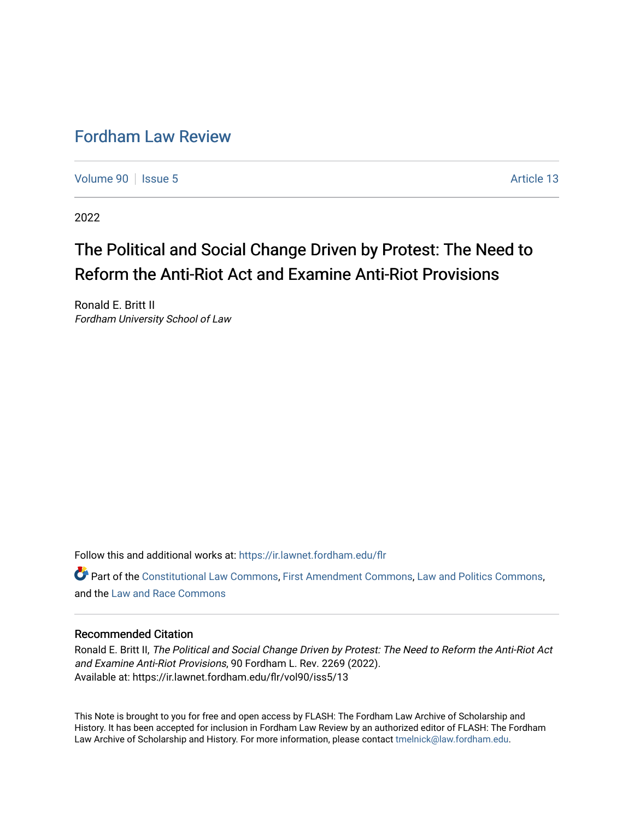# [Fordham Law Review](https://ir.lawnet.fordham.edu/flr)

[Volume 90](https://ir.lawnet.fordham.edu/flr/vol90) | [Issue 5](https://ir.lawnet.fordham.edu/flr/vol90/iss5) Article 13

2022

# The Political and Social Change Driven by Protest: The Need to Reform the Anti-Riot Act and Examine Anti-Riot Provisions

Ronald E. Britt II Fordham University School of Law

Follow this and additional works at: [https://ir.lawnet.fordham.edu/flr](https://ir.lawnet.fordham.edu/flr?utm_source=ir.lawnet.fordham.edu%2Fflr%2Fvol90%2Fiss5%2F13&utm_medium=PDF&utm_campaign=PDFCoverPages)

Part of the [Constitutional Law Commons,](http://network.bepress.com/hgg/discipline/589?utm_source=ir.lawnet.fordham.edu%2Fflr%2Fvol90%2Fiss5%2F13&utm_medium=PDF&utm_campaign=PDFCoverPages) [First Amendment Commons,](http://network.bepress.com/hgg/discipline/1115?utm_source=ir.lawnet.fordham.edu%2Fflr%2Fvol90%2Fiss5%2F13&utm_medium=PDF&utm_campaign=PDFCoverPages) [Law and Politics Commons](http://network.bepress.com/hgg/discipline/867?utm_source=ir.lawnet.fordham.edu%2Fflr%2Fvol90%2Fiss5%2F13&utm_medium=PDF&utm_campaign=PDFCoverPages), and the [Law and Race Commons](http://network.bepress.com/hgg/discipline/1300?utm_source=ir.lawnet.fordham.edu%2Fflr%2Fvol90%2Fiss5%2F13&utm_medium=PDF&utm_campaign=PDFCoverPages)

# Recommended Citation

Ronald E. Britt II, The Political and Social Change Driven by Protest: The Need to Reform the Anti-Riot Act and Examine Anti-Riot Provisions, 90 Fordham L. Rev. 2269 (2022). Available at: https://ir.lawnet.fordham.edu/flr/vol90/iss5/13

This Note is brought to you for free and open access by FLASH: The Fordham Law Archive of Scholarship and History. It has been accepted for inclusion in Fordham Law Review by an authorized editor of FLASH: The Fordham Law Archive of Scholarship and History. For more information, please contact [tmelnick@law.fordham.edu](mailto:tmelnick@law.fordham.edu).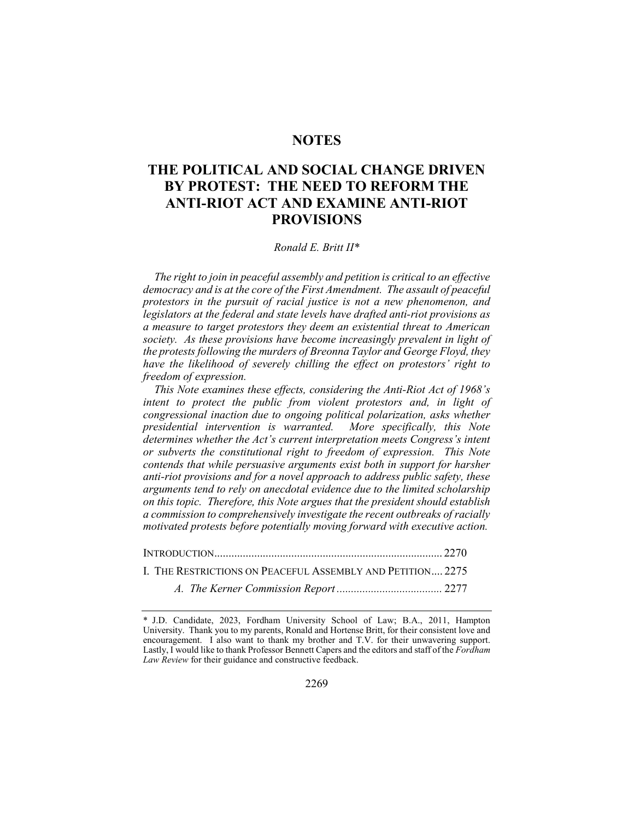# **NOTES**

# THE POLITICAL AND SOCIAL CHANGE DRIVEN BY PROTEST: THE NEED TO REFORM THE ANTI-RIOT ACT AND EXAMINE ANTI-RIOT PROVISIONS

#### Ronald E. Britt II\*

The right to join in peaceful assembly and petition is critical to an effective democracy and is at the core of the First Amendment. The assault of peaceful protestors in the pursuit of racial justice is not a new phenomenon, and legislators at the federal and state levels have drafted anti-riot provisions as a measure to target protestors they deem an existential threat to American society. As these provisions have become increasingly prevalent in light of the protests following the murders of Breonna Taylor and George Floyd, they have the likelihood of severely chilling the effect on protestors' right to freedom of expression.

This Note examines these effects, considering the Anti-Riot Act of 1968's intent to protect the public from violent protestors and, in light of congressional inaction due to ongoing political polarization, asks whether presidential intervention is warranted. More specifically, this Note determines whether the Act's current interpretation meets Congress's intent or subverts the constitutional right to freedom of expression. This Note contends that while persuasive arguments exist both in support for harsher anti-riot provisions and for a novel approach to address public safety, these arguments tend to rely on anecdotal evidence due to the limited scholarship on this topic. Therefore, this Note argues that the president should establish a commission to comprehensively investigate the recent outbreaks of racially motivated protests before potentially moving forward with executive action.

| I. THE RESTRICTIONS ON PEACEFUL ASSEMBLY AND PETITION 2275 |  |
|------------------------------------------------------------|--|
|                                                            |  |

<sup>\*</sup> J.D. Candidate, 2023, Fordham University School of Law; B.A., 2011, Hampton University. Thank you to my parents, Ronald and Hortense Britt, for their consistent love and encouragement. I also want to thank my brother and T.V. for their unwavering support. Lastly, I would like to thank Professor Bennett Capers and the editors and staff of the Fordham Law Review for their guidance and constructive feedback.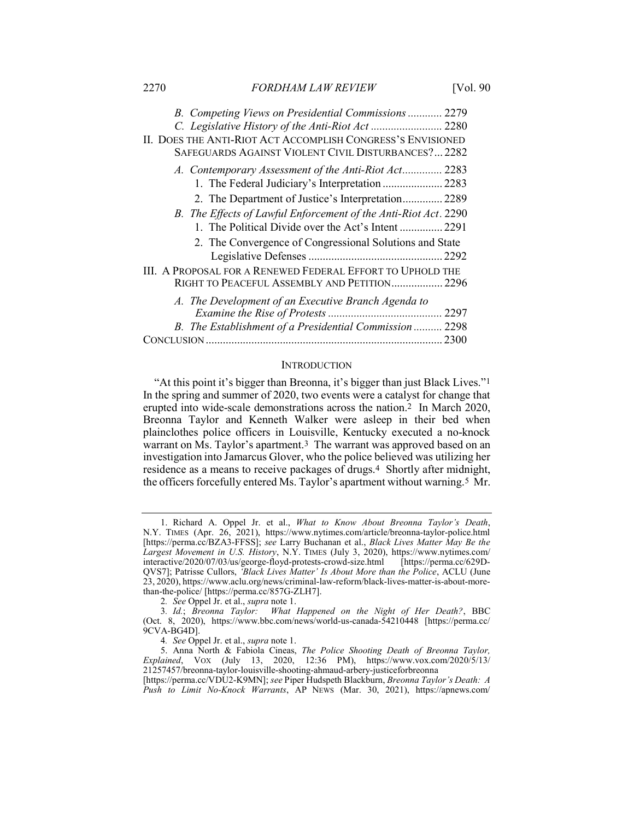| B. Competing Views on Presidential Commissions 2279             |      |
|-----------------------------------------------------------------|------|
| C. Legislative History of the Anti-Riot Act  2280               |      |
| II. DOES THE ANTI-RIOT ACT ACCOMPLISH CONGRESS'S ENVISIONED     |      |
| SAFEGUARDS AGAINST VIOLENT CIVIL DISTURBANCES? 2282             |      |
| A. Contemporary Assessment of the Anti-Riot Act 2283            |      |
| 1. The Federal Judiciary's Interpretation  2283                 |      |
| 2. The Department of Justice's Interpretation 2289              |      |
| B. The Effects of Lawful Enforcement of the Anti-Riot Act. 2290 |      |
| 1. The Political Divide over the Act's Intent  2291             |      |
| 2. The Convergence of Congressional Solutions and State         |      |
|                                                                 | 2292 |
| III. A PROPOSAL FOR A RENEWED FEDERAL EFFORT TO UPHOLD THE      |      |
| RIGHT TO PEACEFUL ASSEMBLY AND PETITION 2296                    |      |
| A. The Development of an Executive Branch Agenda to             |      |
|                                                                 |      |
| B. The Establishment of a Presidential Commission  2298         |      |
|                                                                 | 2300 |

#### **INTRODUCTION**

"At this point it's bigger than Breonna, it's bigger than just Black Lives."1 In the spring and summer of 2020, two events were a catalyst for change that erupted into wide-scale demonstrations across the nation.2 In March 2020, Breonna Taylor and Kenneth Walker were asleep in their bed when plainclothes police officers in Louisville, Kentucky executed a no-knock warrant on Ms. Taylor's apartment.3 The warrant was approved based on an investigation into Jamarcus Glover, who the police believed was utilizing her residence as a means to receive packages of drugs.4 Shortly after midnight, the officers forcefully entered Ms. Taylor's apartment without warning.5 Mr.

 <sup>1.</sup> Richard A. Oppel Jr. et al., What to Know About Breonna Taylor's Death, N.Y. TIMES (Apr. 26, 2021), https://www.nytimes.com/article/breonna-taylor-police.html [https://perma.cc/BZA3-FFSS]; see Larry Buchanan et al., Black Lives Matter May Be the Largest Movement in U.S. History, N.Y. TIMES (July 3, 2020), https://www.nytimes.com/ interactive/2020/07/03/us/george-floyd-protests-crowd-size.html [https://perma.cc/629D-QVS7]; Patrisse Cullors, 'Black Lives Matter' Is About More than the Police, ACLU (June 23, 2020), https://www.aclu.org/news/criminal-law-reform/black-lives-matter-is-about-morethan-the-police/ [https://perma.cc/857G-ZLH7].

<sup>2</sup>. See Oppel Jr. et al., supra note 1.

<sup>3</sup>. Id.; Breonna Taylor: What Happened on the Night of Her Death?, BBC (Oct. 8, 2020), https://www.bbc.com/news/world-us-canada-54210448 [https://perma.cc/ 9CVA-BG4D].

<sup>4.</sup> See Oppel Jr. et al., *supra* note 1.

<sup>5.</sup> Anna North & Fabiola Cineas, The Police Shooting Death of Breonna Taylor, Explained, VOX (July 13, 2020, 12:36 PM), https://www.vox.com/2020/5/13/ 21257457/breonna-taylor-louisville-shooting-ahmaud-arbery-justiceforbreonna

<sup>[</sup>https://perma.cc/VDU2-K9MN]; see Piper Hudspeth Blackburn, Breonna Taylor's Death: A Push to Limit No-Knock Warrants, AP News (Mar. 30, 2021), https://apnews.com/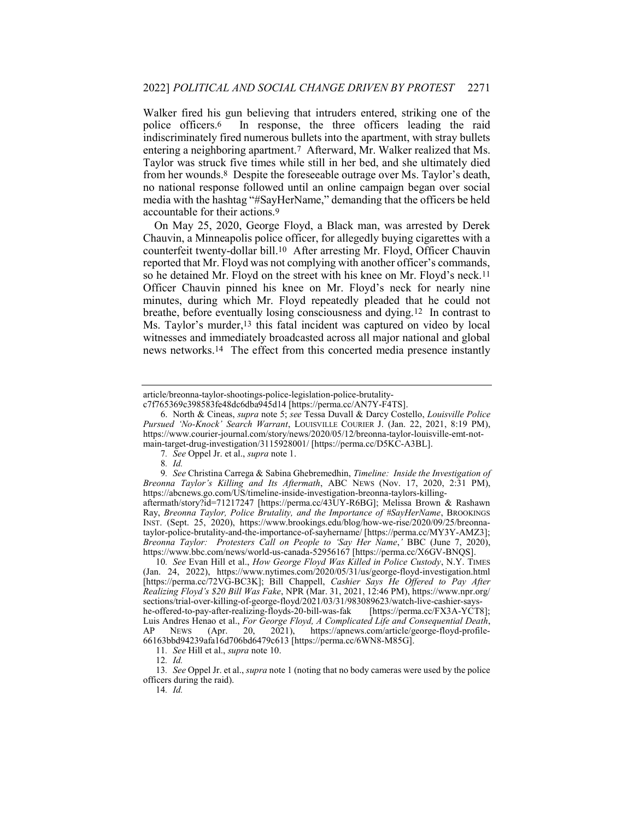Walker fired his gun believing that intruders entered, striking one of the police officers.6 In response, the three officers leading the raid indiscriminately fired numerous bullets into the apartment, with stray bullets entering a neighboring apartment.7 Afterward, Mr. Walker realized that Ms. Taylor was struck five times while still in her bed, and she ultimately died from her wounds.8 Despite the foreseeable outrage over Ms. Taylor's death, no national response followed until an online campaign began over social media with the hashtag "#SayHerName," demanding that the officers be held accountable for their actions.9

On May 25, 2020, George Floyd, a Black man, was arrested by Derek Chauvin, a Minneapolis police officer, for allegedly buying cigarettes with a counterfeit twenty-dollar bill.10 After arresting Mr. Floyd, Officer Chauvin reported that Mr. Floyd was not complying with another officer's commands, so he detained Mr. Floyd on the street with his knee on Mr. Floyd's neck.11 Officer Chauvin pinned his knee on Mr. Floyd's neck for nearly nine minutes, during which Mr. Floyd repeatedly pleaded that he could not breathe, before eventually losing consciousness and dying.12 In contrast to Ms. Taylor's murder,<sup>13</sup> this fatal incident was captured on video by local witnesses and immediately broadcasted across all major national and global news networks.14 The effect from this concerted media presence instantly

article/breonna-taylor-shootings-police-legislation-police-brutality-

c7f765369c398583fe48dc6dba945d14 [https://perma.cc/AN7Y-F4TS].

 <sup>6.</sup> North & Cineas, supra note 5; see Tessa Duvall & Darcy Costello, Louisville Police Pursued 'No-Knock' Search Warrant, LOUISVILLE COURIER J. (Jan. 22, 2021, 8:19 PM), https://www.courier-journal.com/story/news/2020/05/12/breonna-taylor-louisville-emt-notmain-target-drug-investigation/3115928001/ [https://perma.cc/D5KC-A3BL].

<sup>7</sup>. See Oppel Jr. et al., supra note 1.

<sup>8</sup>. Id.

<sup>9.</sup> See Christina Carrega & Sabina Ghebremedhin, Timeline: Inside the Investigation of Breonna Taylor's Killing and Its Aftermath, ABC NEWS (Nov. 17, 2020, 2:31 PM), https://abcnews.go.com/US/timeline-inside-investigation-breonna-taylors-killing-

aftermath/story?id=71217247 [https://perma.cc/43UY-R6BG]; Melissa Brown & Rashawn Ray, Breonna Taylor, Police Brutality, and the Importance of #SayHerName, BROOKINGS INST. (Sept. 25, 2020), https://www.brookings.edu/blog/how-we-rise/2020/09/25/breonnataylor-police-brutality-and-the-importance-of-sayhername/ [https://perma.cc/MY3Y-AMZ3]; Breonna Taylor: Protesters Call on People to 'Say Her Name,' BBC (June 7, 2020), https://www.bbc.com/news/world-us-canada-52956167 [https://perma.cc/X6GV-BNQS].

<sup>10</sup>. See Evan Hill et al., How George Floyd Was Killed in Police Custody, N.Y. TIMES (Jan. 24, 2022), https://www.nytimes.com/2020/05/31/us/george-floyd-investigation.html [https://perma.cc/72VG-BC3K]; Bill Chappell, Cashier Says He Offered to Pay After Realizing Floyd's \$20 Bill Was Fake, NPR (Mar. 31, 2021, 12:46 PM), https://www.npr.org/ sections/trial-over-killing-of-george-floyd/2021/03/31/983089623/watch-live-cashier-sayshe-offered-to-pay-after-realizing-floyds-20-bill-was-fak [https://perma.cc/FX3A-YCT8]; Luis Andres Henao et al., For George Floyd, A Complicated Life and Consequential Death, AP NEWS (Apr. 20, 2021), https://apnews.com/article/george-floyd-profile-66163bbd94239afa16d706bd6479c613 [https://perma.cc/6WN8-M85G].

<sup>11</sup>. See Hill et al., supra note 10.

<sup>12</sup>. Id.

<sup>13</sup>. See Oppel Jr. et al., supra note 1 (noting that no body cameras were used by the police officers during the raid).

<sup>14</sup>. Id.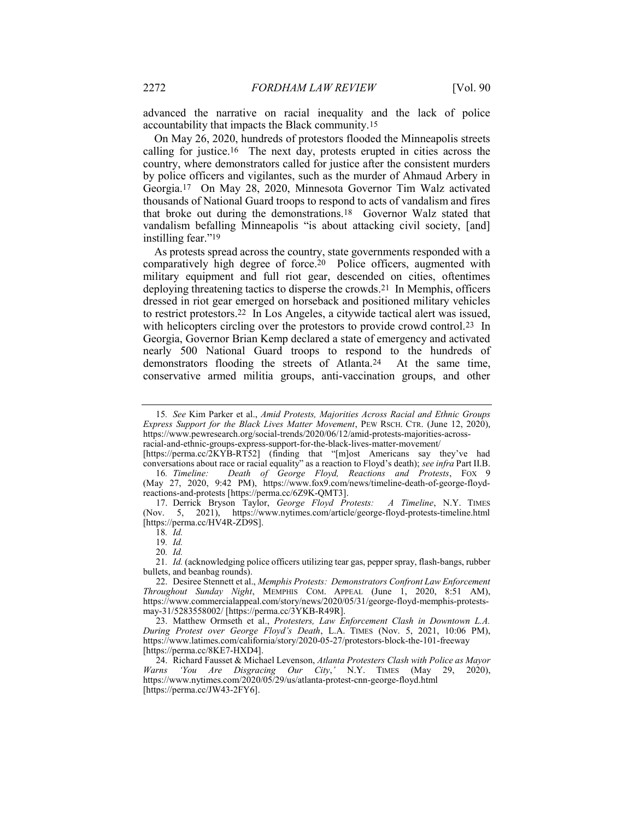advanced the narrative on racial inequality and the lack of police accountability that impacts the Black community.15

On May 26, 2020, hundreds of protestors flooded the Minneapolis streets calling for justice.16 The next day, protests erupted in cities across the country, where demonstrators called for justice after the consistent murders by police officers and vigilantes, such as the murder of Ahmaud Arbery in Georgia.17 On May 28, 2020, Minnesota Governor Tim Walz activated thousands of National Guard troops to respond to acts of vandalism and fires that broke out during the demonstrations.18 Governor Walz stated that vandalism befalling Minneapolis "is about attacking civil society, [and] instilling fear."19

As protests spread across the country, state governments responded with a comparatively high degree of force.20 Police officers, augmented with military equipment and full riot gear, descended on cities, oftentimes deploying threatening tactics to disperse the crowds.21 In Memphis, officers dressed in riot gear emerged on horseback and positioned military vehicles to restrict protestors.22 In Los Angeles, a citywide tactical alert was issued, with helicopters circling over the protestors to provide crowd control.<sup>23</sup> In Georgia, Governor Brian Kemp declared a state of emergency and activated nearly 500 National Guard troops to respond to the hundreds of demonstrators flooding the streets of Atlanta.24 At the same time, conservative armed militia groups, anti-vaccination groups, and other

[https://perma.cc/2KYB-RT52] (finding that "[m]ost Americans say they've had conversations about race or racial equality" as a reaction to Floyd's death); see infra Part II.B.

 17. Derrick Bryson Taylor, George Floyd Protests: A Timeline, N.Y. TIMES (Nov. 5, 2021), https://www.nytimes.com/article/george-floyd-protests-timeline.html [https://perma.cc/HV4R-ZD9S].

18. Id.

19. Id.

21. Id. (acknowledging police officers utilizing tear gas, pepper spray, flash-bangs, rubber bullets, and beanbag rounds).

<sup>15</sup>. See Kim Parker et al., Amid Protests, Majorities Across Racial and Ethnic Groups Express Support for the Black Lives Matter Movement, PEW RSCH. CTR. (June 12, 2020), https://www.pewresearch.org/social-trends/2020/06/12/amid-protests-majorities-acrossracial-and-ethnic-groups-express-support-for-the-black-lives-matter-movement/

<sup>16</sup>. Timeline: Death of George Floyd, Reactions and Protests, FOX 9 (May 27, 2020, 9:42 PM), https://www.fox9.com/news/timeline-death-of-george-floydreactions-and-protests [https://perma.cc/6Z9K-QMT3].

<sup>20</sup>. Id.

 <sup>22.</sup> Desiree Stennett et al., Memphis Protests: Demonstrators Confront Law Enforcement Throughout Sunday Night, MEMPHIS COM. APPEAL (June 1, 2020, 8:51 AM), https://www.commercialappeal.com/story/news/2020/05/31/george-floyd-memphis-protestsmay-31/5283558002/ [https://perma.cc/3YKB-R49R].

 <sup>23.</sup> Matthew Ormseth et al., Protesters, Law Enforcement Clash in Downtown L.A. During Protest over George Floyd's Death, L.A. TIMES (Nov. 5, 2021, 10:06 PM), https://www.latimes.com/california/story/2020-05-27/protestors-block-the-101-freeway [https://perma.cc/8KE7-HXD4].

 <sup>24.</sup> Richard Fausset & Michael Levenson, Atlanta Protesters Clash with Police as Mayor Warns 'You Are Disgracing Our City,' N.Y. TIMES (May 29, 2020), https://www.nytimes.com/2020/05/29/us/atlanta-protest-cnn-george-floyd.html [https://perma.cc/JW43-2FY6].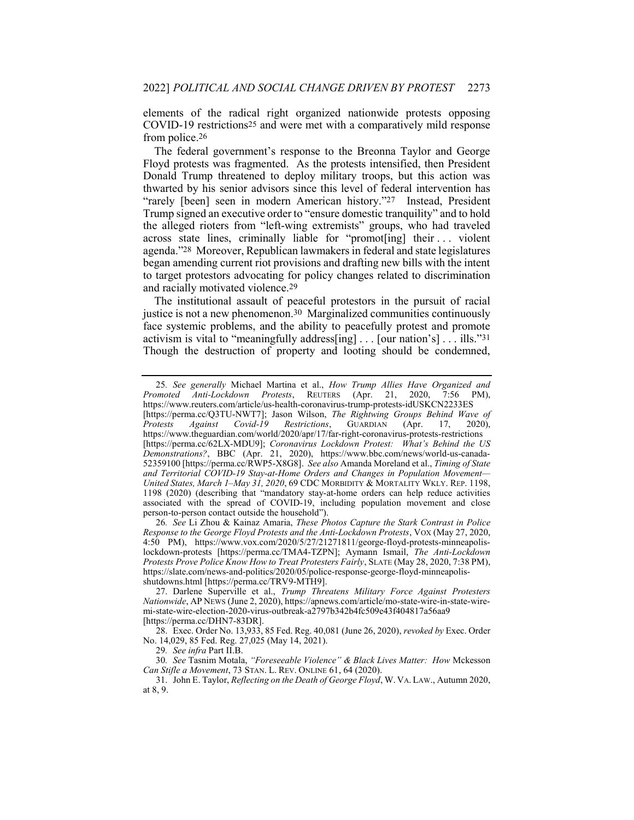elements of the radical right organized nationwide protests opposing COVID-19 restrictions25 and were met with a comparatively mild response from police.26

The federal government's response to the Breonna Taylor and George Floyd protests was fragmented. As the protests intensified, then President Donald Trump threatened to deploy military troops, but this action was thwarted by his senior advisors since this level of federal intervention has "rarely [been] seen in modern American history."27 Instead, President Trump signed an executive order to "ensure domestic tranquility" and to hold the alleged rioters from "left-wing extremists" groups, who had traveled across state lines, criminally liable for "promot[ing] their . . . violent agenda."28 Moreover, Republican lawmakers in federal and state legislatures began amending current riot provisions and drafting new bills with the intent to target protestors advocating for policy changes related to discrimination and racially motivated violence.29

The institutional assault of peaceful protestors in the pursuit of racial justice is not a new phenomenon.<sup>30</sup> Marginalized communities continuously face systemic problems, and the ability to peacefully protest and promote activism is vital to "meaningfully address[ing] . . . [our nation's] . . . ills."31 Though the destruction of property and looting should be condemned,

29. See infra Part II.B.

<sup>25</sup>. See generally Michael Martina et al., How Trump Allies Have Organized and Promoted Anti-Lockdown Protests, REUTERS (Apr. 21, 2020, 7:56 PM), https://www.reuters.com/article/us-health-coronavirus-trump-protests-idUSKCN2233ES [https://perma.cc/Q3TU-NWT7]; Jason Wilson, *The Rightwing Groups Behind Wave of Protests Against Covid-19 Restrictions*, GUARDIAN (Apr. 17, 2020), Protests Against Covid-19 Restrictions, GUARDIAN (Apr. 17, 2020), https://www.theguardian.com/world/2020/apr/17/far-right-coronavirus-protests-restrictions [https://perma.cc/62LX-MDU9]; Coronavirus Lockdown Protest: What's Behind the US Demonstrations?, BBC (Apr. 21, 2020), https://www.bbc.com/news/world-us-canada-52359100 [https://perma.cc/RWP5-X8G8]. See also Amanda Moreland et al., Timing of State and Territorial COVID-19 Stay-at-Home Orders and Changes in Population Movement— United States, March 1–May 31, 2020, 69 CDC MORBIDITY & MORTALITY WKLY. REP. 1198, 1198 (2020) (describing that "mandatory stay-at-home orders can help reduce activities associated with the spread of COVID-19, including population movement and close person-to-person contact outside the household").

<sup>26</sup>. See Li Zhou & Kainaz Amaria, These Photos Capture the Stark Contrast in Police Response to the George Floyd Protests and the Anti-Lockdown Protests, VOX (May 27, 2020, 4:50 PM), https://www.vox.com/2020/5/27/21271811/george-floyd-protests-minneapolislockdown-protests [https://perma.cc/TMA4-TZPN]; Aymann Ismail, The Anti-Lockdown Protests Prove Police Know How to Treat Protesters Fairly, SLATE (May 28, 2020, 7:38 PM), https://slate.com/news-and-politics/2020/05/police-response-george-floyd-minneapolisshutdowns.html [https://perma.cc/TRV9-MTH9].

 <sup>27.</sup> Darlene Superville et al., Trump Threatens Military Force Against Protesters Nationwide, AP NEWS (June 2, 2020), https://apnews.com/article/mo-state-wire-in-state-wiremi-state-wire-election-2020-virus-outbreak-a2797b342b4fc509e43f404817a56aa9 [https://perma.cc/DHN7-83DR].

<sup>28.</sup> Exec. Order No. 13,933, 85 Fed. Reg. 40,081 (June 26, 2020), *revoked by* Exec. Order No. 14,029, 85 Fed. Reg. 27,025 (May 14, 2021).

<sup>30</sup>. See Tasnim Motala, "Foreseeable Violence" & Black Lives Matter: How Mckesson Can Stifle a Movement, 73 STAN. L. REV. ONLINE 61, 64 (2020).

 <sup>31.</sup> John E. Taylor, Reflecting on the Death of George Floyd, W. VA. LAW., Autumn 2020, at 8, 9.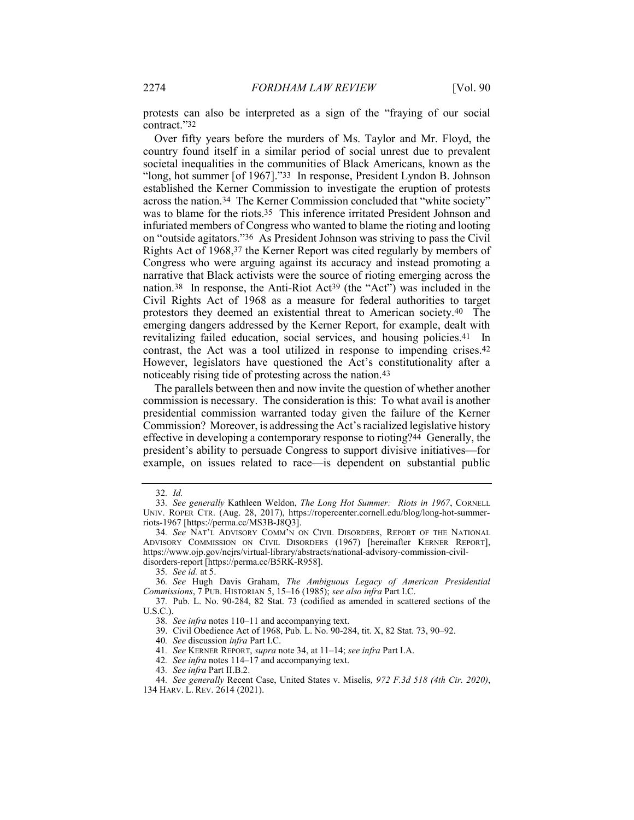protests can also be interpreted as a sign of the "fraying of our social contract."32

Over fifty years before the murders of Ms. Taylor and Mr. Floyd, the country found itself in a similar period of social unrest due to prevalent societal inequalities in the communities of Black Americans, known as the "long, hot summer [of 1967]."33 In response, President Lyndon B. Johnson established the Kerner Commission to investigate the eruption of protests across the nation.34 The Kerner Commission concluded that "white society" was to blame for the riots.35 This inference irritated President Johnson and infuriated members of Congress who wanted to blame the rioting and looting on "outside agitators."36 As President Johnson was striving to pass the Civil Rights Act of 1968,37 the Kerner Report was cited regularly by members of Congress who were arguing against its accuracy and instead promoting a narrative that Black activists were the source of rioting emerging across the nation.38 In response, the Anti-Riot Act39 (the "Act") was included in the Civil Rights Act of 1968 as a measure for federal authorities to target protestors they deemed an existential threat to American society.40 The emerging dangers addressed by the Kerner Report, for example, dealt with revitalizing failed education, social services, and housing policies.41 In contrast, the Act was a tool utilized in response to impending crises.42 However, legislators have questioned the Act's constitutionality after a noticeably rising tide of protesting across the nation.43

The parallels between then and now invite the question of whether another commission is necessary. The consideration is this: To what avail is another presidential commission warranted today given the failure of the Kerner Commission? Moreover, is addressing the Act's racialized legislative history effective in developing a contemporary response to rioting?44 Generally, the president's ability to persuade Congress to support divisive initiatives—for example, on issues related to race—is dependent on substantial public

<sup>32</sup>. Id.

<sup>33</sup>. See generally Kathleen Weldon, The Long Hot Summer: Riots in 1967, CORNELL UNIV. ROPER CTR. (Aug. 28, 2017), https://ropercenter.cornell.edu/blog/long-hot-summerriots-1967 [https://perma.cc/MS3B-J8Q3].

<sup>34</sup>. See NAT'L ADVISORY COMM'N ON CIVIL DISORDERS, REPORT OF THE NATIONAL ADVISORY COMMISSION ON CIVIL DISORDERS (1967) [hereinafter KERNER REPORT], https://www.ojp.gov/ncjrs/virtual-library/abstracts/national-advisory-commission-civildisorders-report [https://perma.cc/B5RK-R958].

<sup>35</sup>. See id. at 5.

<sup>36</sup>. See Hugh Davis Graham, The Ambiguous Legacy of American Presidential Commissions, 7 PUB. HISTORIAN 5, 15–16 (1985); see also infra Part I.C.

<sup>37</sup>. Pub. L. No. 90-284, 82 Stat. 73 (codified as amended in scattered sections of the U.S.C.).

<sup>38</sup>. See infra notes 110–11 and accompanying text.

 <sup>39.</sup> Civil Obedience Act of 1968, Pub. L. No. 90-284, tit. X, 82 Stat. 73, 90–92.

<sup>40</sup>. See discussion infra Part I.C.

<sup>41</sup>. See KERNER REPORT, supra note 34, at 11–14; see infra Part I.A.

<sup>42.</sup> See infra notes 114–17 and accompanying text.

<sup>43</sup>. See infra Part II.B.2.

<sup>44</sup>. See generally Recent Case, United States v. Miselis, 972 F.3d 518 (4th Cir. 2020), 134 HARV. L. REV. 2614 (2021).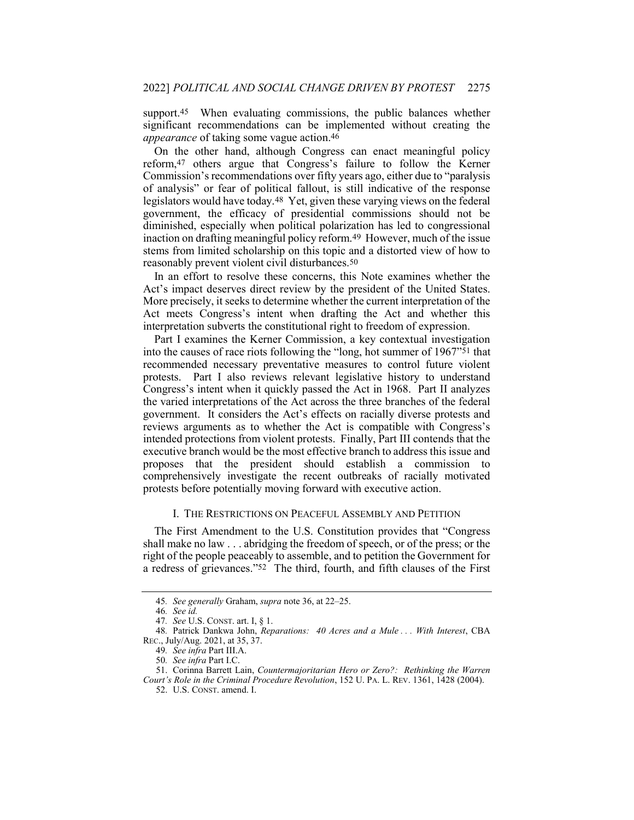support.<sup>45</sup> When evaluating commissions, the public balances whether significant recommendations can be implemented without creating the appearance of taking some vague action.46

On the other hand, although Congress can enact meaningful policy reform,47 others argue that Congress's failure to follow the Kerner Commission's recommendations over fifty years ago, either due to "paralysis of analysis" or fear of political fallout, is still indicative of the response legislators would have today.48 Yet, given these varying views on the federal government, the efficacy of presidential commissions should not be diminished, especially when political polarization has led to congressional inaction on drafting meaningful policy reform.49 However, much of the issue stems from limited scholarship on this topic and a distorted view of how to reasonably prevent violent civil disturbances.50

In an effort to resolve these concerns, this Note examines whether the Act's impact deserves direct review by the president of the United States. More precisely, it seeks to determine whether the current interpretation of the Act meets Congress's intent when drafting the Act and whether this interpretation subverts the constitutional right to freedom of expression.

Part I examines the Kerner Commission, a key contextual investigation into the causes of race riots following the "long, hot summer of 1967"51 that recommended necessary preventative measures to control future violent protests. Part I also reviews relevant legislative history to understand Congress's intent when it quickly passed the Act in 1968. Part II analyzes the varied interpretations of the Act across the three branches of the federal government. It considers the Act's effects on racially diverse protests and reviews arguments as to whether the Act is compatible with Congress's intended protections from violent protests. Finally, Part III contends that the executive branch would be the most effective branch to address this issue and proposes that the president should establish a commission to comprehensively investigate the recent outbreaks of racially motivated protests before potentially moving forward with executive action.

#### I. THE RESTRICTIONS ON PEACEFUL ASSEMBLY AND PETITION

The First Amendment to the U.S. Constitution provides that "Congress shall make no law . . . abridging the freedom of speech, or of the press; or the right of the people peaceably to assemble, and to petition the Government for a redress of grievances."52 The third, fourth, and fifth clauses of the First

<sup>45</sup>. See generally Graham, supra note 36, at 22–25.

<sup>46</sup>. See id.

<sup>47</sup>. See U.S. CONST. art. I, § 1.

<sup>48</sup>. Patrick Dankwa John, Reparations: 40 Acres and a Mule . . . With Interest, CBA REC., July/Aug. 2021, at 35, 37.

<sup>49.</sup> See infra Part III.A.

<sup>50</sup>. See infra Part I.C.

 <sup>51.</sup> Corinna Barrett Lain, Countermajoritarian Hero or Zero?: Rethinking the Warren Court's Role in the Criminal Procedure Revolution, 152 U. PA. L. REV. 1361, 1428 (2004).

 <sup>52.</sup> U.S. CONST. amend. I.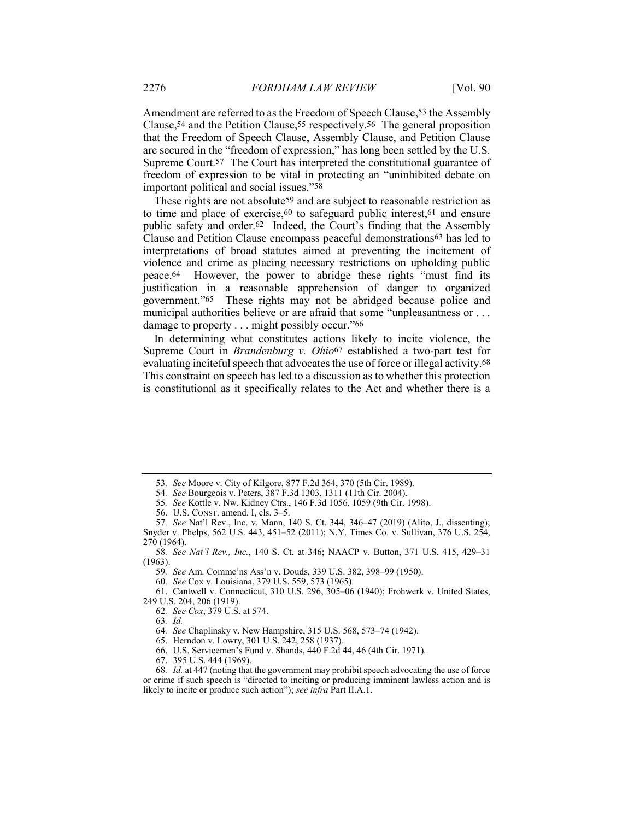Amendment are referred to as the Freedom of Speech Clause,<sup>53</sup> the Assembly Clause,54 and the Petition Clause,55 respectively.56 The general proposition that the Freedom of Speech Clause, Assembly Clause, and Petition Clause are secured in the "freedom of expression," has long been settled by the U.S. Supreme Court.57 The Court has interpreted the constitutional guarantee of freedom of expression to be vital in protecting an "uninhibited debate on important political and social issues."58

These rights are not absolute<sup>59</sup> and are subject to reasonable restriction as to time and place of exercise,60 to safeguard public interest,61 and ensure public safety and order.62 Indeed, the Court's finding that the Assembly Clause and Petition Clause encompass peaceful demonstrations63 has led to interpretations of broad statutes aimed at preventing the incitement of violence and crime as placing necessary restrictions on upholding public peace.64 However, the power to abridge these rights "must find its justification in a reasonable apprehension of danger to organized government."65 These rights may not be abridged because police and municipal authorities believe or are afraid that some "unpleasantness or . . . damage to property . . . might possibly occur."66

In determining what constitutes actions likely to incite violence, the Supreme Court in *Brandenburg v. Ohio*<sup>67</sup> established a two-part test for evaluating inciteful speech that advocates the use of force or illegal activity.68 This constraint on speech has led to a discussion as to whether this protection is constitutional as it specifically relates to the Act and whether there is a

59. See Am. Commc'ns Ass'n v. Douds, 339 U.S. 382, 398–99 (1950).

60. See Cox v. Louisiana, 379 U.S. 559, 573 (1965).

 61. Cantwell v. Connecticut, 310 U.S. 296, 305–06 (1940); Frohwerk v. United States, 249 U.S. 204, 206 (1919).

63. Id.

64. See Chaplinsky v. New Hampshire, 315 U.S. 568, 573–74 (1942).

67. 395 U.S. 444 (1969).

<sup>53</sup>. See Moore v. City of Kilgore, 877 F.2d 364, 370 (5th Cir. 1989).

<sup>54</sup>. See Bourgeois v. Peters, 387 F.3d 1303, 1311 (11th Cir. 2004).

<sup>55</sup>. See Kottle v. Nw. Kidney Ctrs., 146 F.3d 1056, 1059 (9th Cir. 1998).

 <sup>56.</sup> U.S. CONST. amend. I, cls. 3–5.

<sup>57</sup>. See Nat'l Rev., Inc. v. Mann, 140 S. Ct. 344, 346–47 (2019) (Alito, J., dissenting); Snyder v. Phelps, 562 U.S. 443, 451–52 (2011); N.Y. Times Co. v. Sullivan, 376 U.S. 254, 270 (1964).

<sup>58</sup>. See Nat'l Rev., Inc., 140 S. Ct. at 346; NAACP v. Button, 371 U.S. 415, 429–31 (1963).

<sup>62</sup>. See Cox, 379 U.S. at 574.

 <sup>65.</sup> Herndon v. Lowry, 301 U.S. 242, 258 (1937).

 <sup>66.</sup> U.S. Servicemen's Fund v. Shands, 440 F.2d 44, 46 (4th Cir. 1971).

<sup>68</sup>. Id. at 447 (noting that the government may prohibit speech advocating the use of force or crime if such speech is "directed to inciting or producing imminent lawless action and is likely to incite or produce such action"); see infra Part II.A.1.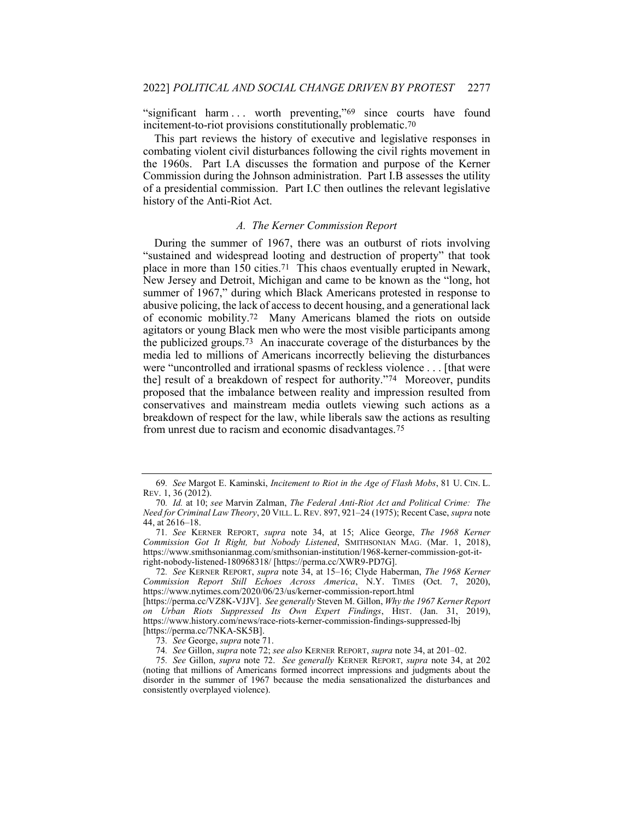"significant harm ... worth preventing,"<sup>69</sup> since courts have found incitement-to-riot provisions constitutionally problematic.70

This part reviews the history of executive and legislative responses in combating violent civil disturbances following the civil rights movement in the 1960s. Part I.A discusses the formation and purpose of the Kerner Commission during the Johnson administration. Part I.B assesses the utility of a presidential commission. Part I.C then outlines the relevant legislative history of the Anti-Riot Act.

#### A. The Kerner Commission Report

During the summer of 1967, there was an outburst of riots involving "sustained and widespread looting and destruction of property" that took place in more than 150 cities.71 This chaos eventually erupted in Newark, New Jersey and Detroit, Michigan and came to be known as the "long, hot summer of 1967," during which Black Americans protested in response to abusive policing, the lack of access to decent housing, and a generational lack of economic mobility.72 Many Americans blamed the riots on outside agitators or young Black men who were the most visible participants among the publicized groups.73 An inaccurate coverage of the disturbances by the media led to millions of Americans incorrectly believing the disturbances were "uncontrolled and irrational spasms of reckless violence . . . [that were the] result of a breakdown of respect for authority."74 Moreover, pundits proposed that the imbalance between reality and impression resulted from conservatives and mainstream media outlets viewing such actions as a breakdown of respect for the law, while liberals saw the actions as resulting from unrest due to racism and economic disadvantages.75

72. See KERNER REPORT, supra note 34, at 15–16; Clyde Haberman, The 1968 Kerner Commission Report Still Echoes Across America, N.Y. TIMES (Oct. 7, 2020), https://www.nytimes.com/2020/06/23/us/kerner-commission-report.html

<sup>69</sup>. See Margot E. Kaminski, Incitement to Riot in the Age of Flash Mobs, 81 U. CIN. L. REV. 1, 36 (2012).

<sup>70</sup>. Id. at 10; see Marvin Zalman, The Federal Anti-Riot Act and Political Crime: The Need for Criminal Law Theory, 20 VILL. L.REV. 897, 921–24 (1975); Recent Case, supra note 44, at 2616–18.

<sup>71</sup>. See KERNER REPORT, supra note 34, at 15; Alice George, The 1968 Kerner Commission Got It Right, but Nobody Listened, SMITHSONIAN MAG. (Mar. 1, 2018), https://www.smithsonianmag.com/smithsonian-institution/1968-kerner-commission-got-itright-nobody-listened-180968318/ [https://perma.cc/XWR9-PD7G].

<sup>[</sup>https://perma.cc/VZ8K-VJJV]. See generally Steven M. Gillon, Why the 1967 Kerner Report on Urban Riots Suppressed Its Own Expert Findings, HIST. (Jan. 31, 2019), https://www.history.com/news/race-riots-kerner-commission-findings-suppressed-lbj [https://perma.cc/7NKA-SK5B].

<sup>73</sup>. See George, supra note 71.

<sup>74</sup>. See Gillon, supra note 72; see also KERNER REPORT, supra note 34, at 201–02.

<sup>75</sup>. See Gillon, supra note 72. See generally KERNER REPORT, supra note 34, at 202 (noting that millions of Americans formed incorrect impressions and judgments about the disorder in the summer of 1967 because the media sensationalized the disturbances and consistently overplayed violence).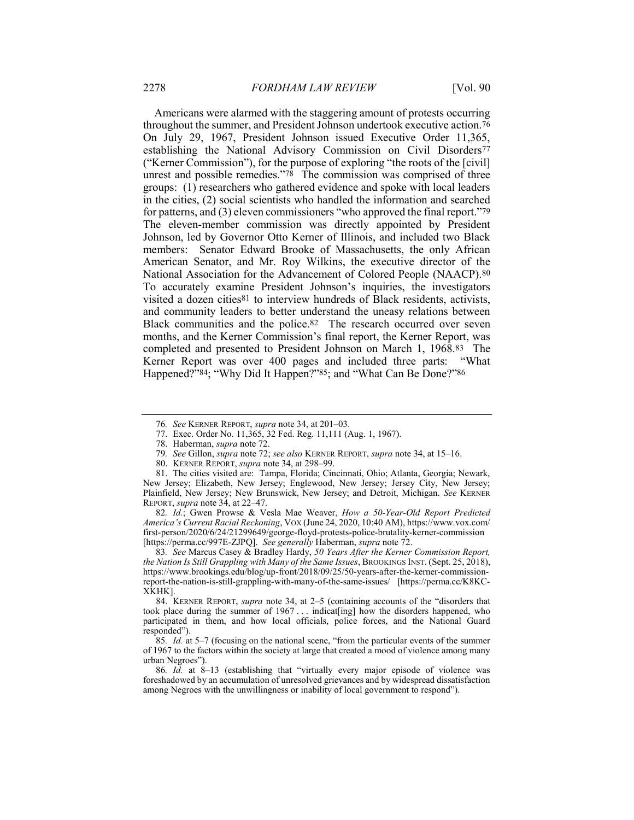Americans were alarmed with the staggering amount of protests occurring throughout the summer, and President Johnson undertook executive action.76 On July 29, 1967, President Johnson issued Executive Order 11,365, establishing the National Advisory Commission on Civil Disorders77 ("Kerner Commission"), for the purpose of exploring "the roots of the [civil] unrest and possible remedies."78 The commission was comprised of three groups: (1) researchers who gathered evidence and spoke with local leaders in the cities, (2) social scientists who handled the information and searched for patterns, and (3) eleven commissioners "who approved the final report."79 The eleven-member commission was directly appointed by President Johnson, led by Governor Otto Kerner of Illinois, and included two Black members: Senator Edward Brooke of Massachusetts, the only African American Senator, and Mr. Roy Wilkins, the executive director of the National Association for the Advancement of Colored People (NAACP).80 To accurately examine President Johnson's inquiries, the investigators visited a dozen cities81 to interview hundreds of Black residents, activists, and community leaders to better understand the uneasy relations between Black communities and the police.82 The research occurred over seven months, and the Kerner Commission's final report, the Kerner Report, was completed and presented to President Johnson on March 1, 1968.83 The Kerner Report was over 400 pages and included three parts: "What Happened?"84; "Why Did It Happen?"85; and "What Can Be Done?"86

83. See Marcus Casey & Bradley Hardy, 50 Years After the Kerner Commission Report, the Nation Is Still Grappling with Many of the Same Issues, BROOKINGS INST. (Sept. 25, 2018), https://www.brookings.edu/blog/up-front/2018/09/25/50-years-after-the-kerner-commissionreport-the-nation-is-still-grappling-with-many-of-the-same-issues/ [https://perma.cc/K8KC-XKHK].

 84. KERNER REPORT, supra note 34, at 2–5 (containing accounts of the "disorders that took place during the summer of 1967 . . . indicat[ing] how the disorders happened, who participated in them, and how local officials, police forces, and the National Guard responded").

85. Id. at 5–7 (focusing on the national scene, "from the particular events of the summer of 1967 to the factors within the society at large that created a mood of violence among many urban Negroes").

86. Id. at 8–13 (establishing that "virtually every major episode of violence was foreshadowed by an accumulation of unresolved grievances and by widespread dissatisfaction among Negroes with the unwillingness or inability of local government to respond").

<sup>76</sup>. See KERNER REPORT, supra note 34, at 201–03.

 <sup>77.</sup> Exec. Order No. 11,365, 32 Fed. Reg. 11,111 (Aug. 1, 1967).

 <sup>78.</sup> Haberman, supra note 72.

<sup>79.</sup> See Gillon, *supra* note 72; see also KERNER REPORT, *supra* note 34, at 15–16.

<sup>80.</sup> KERNER REPORT, *supra* note 34, at 298–99.

 <sup>81.</sup> The cities visited are: Tampa, Florida; Cincinnati, Ohio; Atlanta, Georgia; Newark, New Jersey; Elizabeth, New Jersey; Englewood, New Jersey; Jersey City, New Jersey; Plainfield, New Jersey; New Brunswick, New Jersey; and Detroit, Michigan. See KERNER REPORT, supra note 34, at 22–47.

<sup>82.</sup> Id.; Gwen Prowse & Vesla Mae Weaver, How a 50-Year-Old Report Predicted America's Current Racial Reckoning, VOX (June 24, 2020, 10:40 AM), https://www.vox.com/ first-person/2020/6/24/21299649/george-floyd-protests-police-brutality-kerner-commission [https://perma.cc/997E-ZJPQ]. See generally Haberman, supra note 72.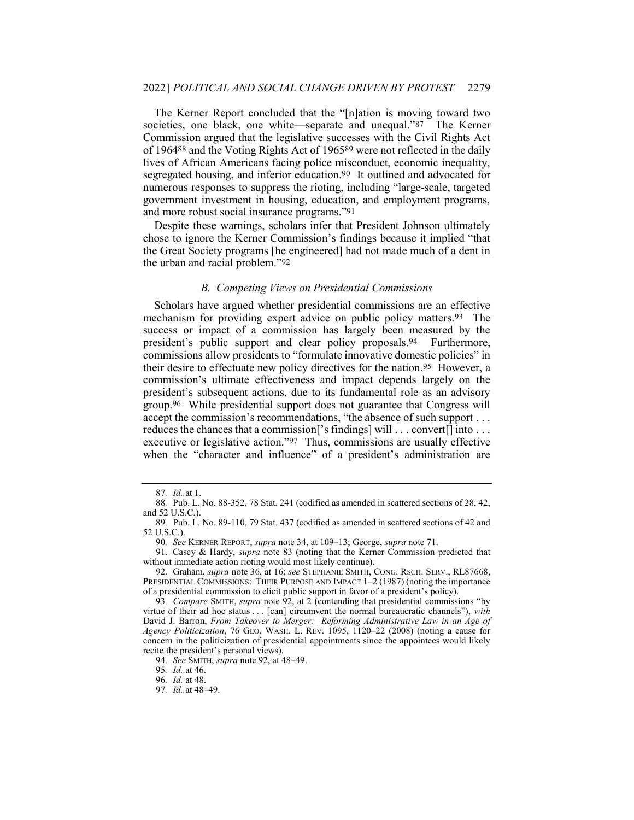The Kerner Report concluded that the "[n]ation is moving toward two societies, one black, one white—separate and unequal."87 The Kerner Commission argued that the legislative successes with the Civil Rights Act of 196488 and the Voting Rights Act of 196589 were not reflected in the daily lives of African Americans facing police misconduct, economic inequality, segregated housing, and inferior education.90 It outlined and advocated for numerous responses to suppress the rioting, including "large-scale, targeted government investment in housing, education, and employment programs, and more robust social insurance programs."91

Despite these warnings, scholars infer that President Johnson ultimately chose to ignore the Kerner Commission's findings because it implied "that the Great Society programs [he engineered] had not made much of a dent in the urban and racial problem."92

#### B. Competing Views on Presidential Commissions

Scholars have argued whether presidential commissions are an effective mechanism for providing expert advice on public policy matters.<sup>93</sup> The success or impact of a commission has largely been measured by the president's public support and clear policy proposals.94 Furthermore, commissions allow presidents to "formulate innovative domestic policies" in their desire to effectuate new policy directives for the nation.95 However, a commission's ultimate effectiveness and impact depends largely on the president's subsequent actions, due to its fundamental role as an advisory group.96 While presidential support does not guarantee that Congress will accept the commission's recommendations, "the absence of such support . . . reduces the chances that a commission['s findings] will . . . convert[] into . . . executive or legislative action."97 Thus, commissions are usually effective when the "character and influence" of a president's administration are

94. See SMITH, supra note 92, at 48–49.

<sup>87</sup>. Id. at 1.

<sup>88</sup>. Pub. L. No. 88-352, 78 Stat. 241 (codified as amended in scattered sections of 28, 42, and 52 U.S.C.).

<sup>89</sup>. Pub. L. No. 89-110, 79 Stat. 437 (codified as amended in scattered sections of 42 and 52 U.S.C.).

<sup>90.</sup> See KERNER REPORT, supra note 34, at 109-13; George, supra note 71.

<sup>91.</sup> Casey & Hardy, *supra* note 83 (noting that the Kerner Commission predicted that without immediate action rioting would most likely continue).

<sup>92.</sup> Graham, supra note 36, at 16; see STEPHANIE SMITH, CONG. RSCH. SERV., RL87668, PRESIDENTIAL COMMISSIONS: THEIR PURPOSE AND IMPACT 1–2 (1987) (noting the importance of a presidential commission to elicit public support in favor of a president's policy).

<sup>93</sup>. Compare SMITH, supra note 92, at 2 (contending that presidential commissions "by virtue of their ad hoc status . . . [can] circumvent the normal bureaucratic channels"), with David J. Barron, From Takeover to Merger: Reforming Administrative Law in an Age of Agency Politicization, 76 GEO. WASH. L. REV. 1095, 1120-22 (2008) (noting a cause for concern in the politicization of presidential appointments since the appointees would likely recite the president's personal views).

<sup>95</sup>. Id. at 46.

<sup>96</sup>. Id. at 48.

<sup>97</sup>. Id. at 48–49.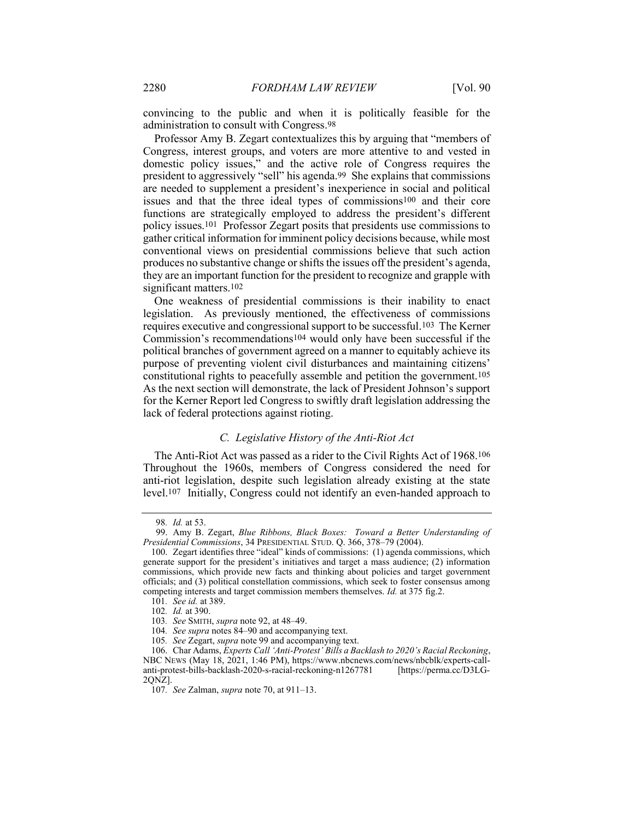convincing to the public and when it is politically feasible for the administration to consult with Congress.98

Professor Amy B. Zegart contextualizes this by arguing that "members of Congress, interest groups, and voters are more attentive to and vested in domestic policy issues," and the active role of Congress requires the president to aggressively "sell" his agenda.99 She explains that commissions are needed to supplement a president's inexperience in social and political issues and that the three ideal types of commissions100 and their core functions are strategically employed to address the president's different policy issues.101 Professor Zegart posits that presidents use commissions to gather critical information for imminent policy decisions because, while most conventional views on presidential commissions believe that such action produces no substantive change or shifts the issues off the president's agenda, they are an important function for the president to recognize and grapple with significant matters.<sup>102</sup>

One weakness of presidential commissions is their inability to enact legislation. As previously mentioned, the effectiveness of commissions requires executive and congressional support to be successful.103 The Kerner Commission's recommendations104 would only have been successful if the political branches of government agreed on a manner to equitably achieve its purpose of preventing violent civil disturbances and maintaining citizens' constitutional rights to peacefully assemble and petition the government.105 As the next section will demonstrate, the lack of President Johnson's support for the Kerner Report led Congress to swiftly draft legislation addressing the lack of federal protections against rioting.

#### C. Legislative History of the Anti-Riot Act

The Anti-Riot Act was passed as a rider to the Civil Rights Act of 1968.106 Throughout the 1960s, members of Congress considered the need for anti-riot legislation, despite such legislation already existing at the state level.107 Initially, Congress could not identify an even-handed approach to

<sup>98</sup>. Id. at 53.

 <sup>99.</sup> Amy B. Zegart, Blue Ribbons, Black Boxes: Toward a Better Understanding of Presidential Commissions, 34 PRESIDENTIAL STUD. Q. 366, 378–79 (2004).

 <sup>100.</sup> Zegart identifies three "ideal" kinds of commissions: (1) agenda commissions, which generate support for the president's initiatives and target a mass audience; (2) information commissions, which provide new facts and thinking about policies and target government officials; and (3) political constellation commissions, which seek to foster consensus among competing interests and target commission members themselves. Id. at 375 fig.2.

<sup>101</sup>. See id. at 389.

<sup>102</sup>. Id. at 390.

<sup>103</sup>. See SMITH, supra note 92, at 48–49.

<sup>104</sup>. See supra notes 84–90 and accompanying text.

<sup>105.</sup> See Zegart, supra note 99 and accompanying text.

 <sup>106.</sup> Char Adams, Experts Call 'Anti-Protest' Bills a Backlash to 2020's Racial Reckoning, NBC NEWS (May 18, 2021, 1:46 PM), https://www.nbcnews.com/news/nbcblk/experts-callanti-protest-bills-backlash-2020-s-racial-reckoning-n1267781 [https://perma.cc/D3LG-2QNZ].

<sup>107.</sup> See Zalman, *supra* note 70, at 911–13.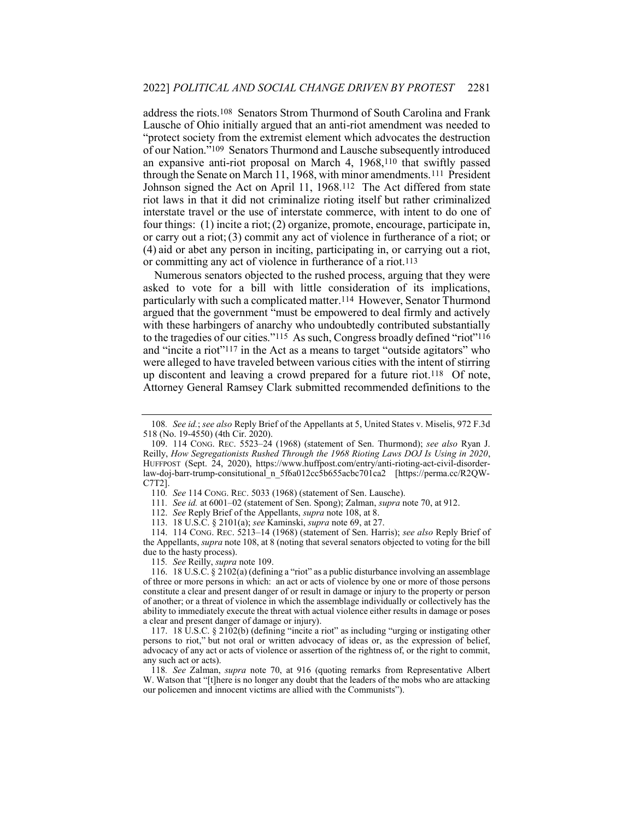address the riots.108 Senators Strom Thurmond of South Carolina and Frank Lausche of Ohio initially argued that an anti-riot amendment was needed to "protect society from the extremist element which advocates the destruction of our Nation."109 Senators Thurmond and Lausche subsequently introduced an expansive anti-riot proposal on March 4, 1968,110 that swiftly passed through the Senate on March 11, 1968, with minor amendments.111 President Johnson signed the Act on April 11, 1968.112 The Act differed from state riot laws in that it did not criminalize rioting itself but rather criminalized interstate travel or the use of interstate commerce, with intent to do one of four things: (1) incite a riot;(2) organize, promote, encourage, participate in, or carry out a riot;(3) commit any act of violence in furtherance of a riot; or (4) aid or abet any person in inciting, participating in, or carrying out a riot, or committing any act of violence in furtherance of a riot.113

Numerous senators objected to the rushed process, arguing that they were asked to vote for a bill with little consideration of its implications, particularly with such a complicated matter.114 However, Senator Thurmond argued that the government "must be empowered to deal firmly and actively with these harbingers of anarchy who undoubtedly contributed substantially to the tragedies of our cities."115 As such, Congress broadly defined "riot"116 and "incite a riot"117 in the Act as a means to target "outside agitators" who were alleged to have traveled between various cities with the intent of stirring up discontent and leaving a crowd prepared for a future riot.118 Of note, Attorney General Ramsey Clark submitted recommended definitions to the

113. 18 U.S.C. § 2101(a); see Kaminski, supra note 69, at 27.

115. See Reilly, supra note 109.

<sup>108.</sup> See id.; see also Reply Brief of the Appellants at 5, United States v. Miselis, 972 F.3d 518 (No. 19-4550) (4th Cir. 2020).

 <sup>109. 114</sup> CONG. REC. 5523–24 (1968) (statement of Sen. Thurmond); see also Ryan J. Reilly, How Segregationists Rushed Through the 1968 Rioting Laws DOJ Is Using in 2020, HUFFPOST (Sept. 24, 2020), https://www.huffpost.com/entry/anti-rioting-act-civil-disorderlaw-doj-barr-trump-consitutional\_n\_5f6a012cc5b655acbc701ca2 [https://perma.cc/R2QW-C7T2].

<sup>110</sup>. See 114 CONG. REC. 5033 (1968) (statement of Sen. Lausche).

<sup>111.</sup> See id. at 6001-02 (statement of Sen. Spong); Zalman, supra note 70, at 912.

 <sup>112.</sup> See Reply Brief of the Appellants, supra note 108, at 8.

 <sup>114. 114</sup> CONG. REC. 5213–14 (1968) (statement of Sen. Harris); see also Reply Brief of the Appellants, *supra* note 108, at 8 (noting that several senators objected to voting for the bill due to the hasty process).

 <sup>116. 18</sup> U.S.C. § 2102(a) (defining a "riot" as a public disturbance involving an assemblage of three or more persons in which: an act or acts of violence by one or more of those persons constitute a clear and present danger of or result in damage or injury to the property or person of another; or a threat of violence in which the assemblage individually or collectively has the ability to immediately execute the threat with actual violence either results in damage or poses a clear and present danger of damage or injury).

 <sup>117. 18</sup> U.S.C. § 2102(b) (defining "incite a riot" as including "urging or instigating other persons to riot," but not oral or written advocacy of ideas or, as the expression of belief, advocacy of any act or acts of violence or assertion of the rightness of, or the right to commit, any such act or acts).

<sup>118</sup>. See Zalman, supra note 70, at 916 (quoting remarks from Representative Albert W. Watson that "[t]here is no longer any doubt that the leaders of the mobs who are attacking our policemen and innocent victims are allied with the Communists").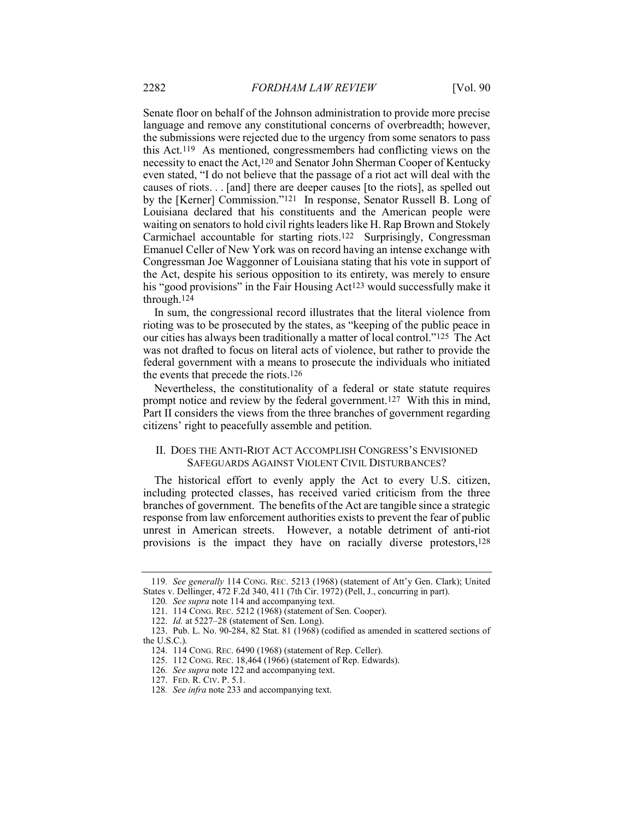Senate floor on behalf of the Johnson administration to provide more precise language and remove any constitutional concerns of overbreadth; however, the submissions were rejected due to the urgency from some senators to pass this Act.119 As mentioned, congressmembers had conflicting views on the necessity to enact the Act,120 and Senator John Sherman Cooper of Kentucky even stated, "I do not believe that the passage of a riot act will deal with the causes of riots. . . [and] there are deeper causes [to the riots], as spelled out by the [Kerner] Commission."121 In response, Senator Russell B. Long of Louisiana declared that his constituents and the American people were waiting on senators to hold civil rights leaders like H. Rap Brown and Stokely Carmichael accountable for starting riots.122 Surprisingly, Congressman Emanuel Celler of New York was on record having an intense exchange with Congressman Joe Waggonner of Louisiana stating that his vote in support of the Act, despite his serious opposition to its entirety, was merely to ensure his "good provisions" in the Fair Housing Act<sup>123</sup> would successfully make it through.124

In sum, the congressional record illustrates that the literal violence from rioting was to be prosecuted by the states, as "keeping of the public peace in our cities has always been traditionally a matter of local control."125 The Act was not drafted to focus on literal acts of violence, but rather to provide the federal government with a means to prosecute the individuals who initiated the events that precede the riots.126

Nevertheless, the constitutionality of a federal or state statute requires prompt notice and review by the federal government.127 With this in mind, Part II considers the views from the three branches of government regarding citizens' right to peacefully assemble and petition.

#### II. DOES THE ANTI-RIOT ACT ACCOMPLISH CONGRESS'S ENVISIONED SAFEGUARDS AGAINST VIOLENT CIVIL DISTURBANCES?

The historical effort to evenly apply the Act to every U.S. citizen, including protected classes, has received varied criticism from the three branches of government. The benefits of the Act are tangible since a strategic response from law enforcement authorities exists to prevent the fear of public unrest in American streets. However, a notable detriment of anti-riot provisions is the impact they have on racially diverse protestors,128

<sup>119</sup>. See generally 114 CONG. REC. 5213 (1968) (statement of Att'y Gen. Clark); United States v. Dellinger, 472 F.2d 340, 411 (7th Cir. 1972) (Pell, J., concurring in part).

<sup>120</sup>. See supra note 114 and accompanying text.

 <sup>121. 114</sup> CONG. REC. 5212 (1968) (statement of Sen. Cooper).

 <sup>122.</sup> Id. at 5227–28 (statement of Sen. Long).

 <sup>123.</sup> Pub. L. No. 90-284, 82 Stat. 81 (1968) (codified as amended in scattered sections of the U.S.C.).

 <sup>124. 114</sup> CONG. REC. 6490 (1968) (statement of Rep. Celler).

 <sup>125. 112</sup> CONG. REC. 18,464 (1966) (statement of Rep. Edwards).

<sup>126</sup>. See supra note 122 and accompanying text.

 <sup>127.</sup> FED. R. CIV. P. 5.1.

<sup>128</sup>. See infra note 233 and accompanying text.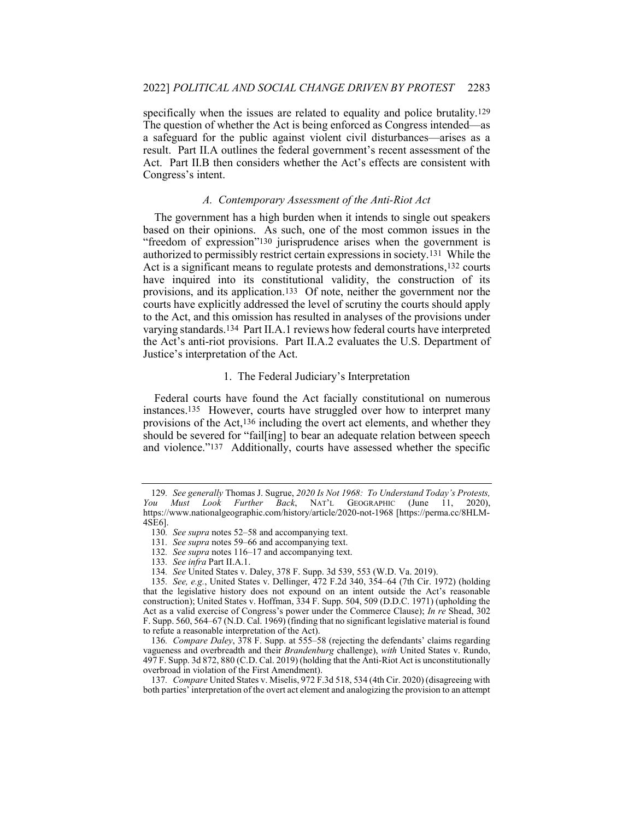specifically when the issues are related to equality and police brutality.129 The question of whether the Act is being enforced as Congress intended—as a safeguard for the public against violent civil disturbances—arises as a result. Part II.A outlines the federal government's recent assessment of the Act. Part II.B then considers whether the Act's effects are consistent with Congress's intent.

### A. Contemporary Assessment of the Anti-Riot Act

The government has a high burden when it intends to single out speakers based on their opinions. As such, one of the most common issues in the "freedom of expression"130 jurisprudence arises when the government is authorized to permissibly restrict certain expressions in society.131 While the Act is a significant means to regulate protests and demonstrations,<sup>132</sup> courts have inquired into its constitutional validity, the construction of its provisions, and its application.133 Of note, neither the government nor the courts have explicitly addressed the level of scrutiny the courts should apply to the Act, and this omission has resulted in analyses of the provisions under varying standards.134 Part II.A.1 reviews how federal courts have interpreted the Act's anti-riot provisions. Part II.A.2 evaluates the U.S. Department of Justice's interpretation of the Act.

#### 1. The Federal Judiciary's Interpretation

Federal courts have found the Act facially constitutional on numerous instances.135 However, courts have struggled over how to interpret many provisions of the Act,136 including the overt act elements, and whether they should be severed for "fail[ing] to bear an adequate relation between speech and violence."137 Additionally, courts have assessed whether the specific

<sup>129</sup>. See generally Thomas J. Sugrue, 2020 Is Not 1968: To Understand Today's Protests, You Must Look Further Back, NAT'L GEOGRAPHIC (June 11, 2020), https://www.nationalgeographic.com/history/article/2020-not-1968 [https://perma.cc/8HLM-4SE6].

<sup>130.</sup> See supra notes 52–58 and accompanying text.

<sup>131.</sup> See supra notes 59–66 and accompanying text.

<sup>132.</sup> See supra notes 116–17 and accompanying text.

<sup>133</sup>. See infra Part II.A.1.

<sup>134</sup>. See United States v. Daley, 378 F. Supp. 3d 539, 553 (W.D. Va. 2019).

<sup>135</sup>. See, e.g., United States v. Dellinger, 472 F.2d 340, 354–64 (7th Cir. 1972) (holding that the legislative history does not expound on an intent outside the Act's reasonable construction); United States v. Hoffman, 334 F. Supp. 504, 509 (D.D.C. 1971) (upholding the Act as a valid exercise of Congress's power under the Commerce Clause); In re Shead, 302 F. Supp. 560, 564–67 (N.D. Cal. 1969) (finding that no significant legislative material is found to refute a reasonable interpretation of the Act).

<sup>136</sup>. Compare Daley, 378 F. Supp. at 555–58 (rejecting the defendants' claims regarding vagueness and overbreadth and their Brandenburg challenge), with United States v. Rundo, 497 F. Supp. 3d 872, 880 (C.D. Cal. 2019) (holding that the Anti-Riot Act is unconstitutionally overbroad in violation of the First Amendment).

<sup>137.</sup> Compare United States v. Miselis, 972 F.3d 518, 534 (4th Cir. 2020) (disagreeing with both parties' interpretation of the overt act element and analogizing the provision to an attempt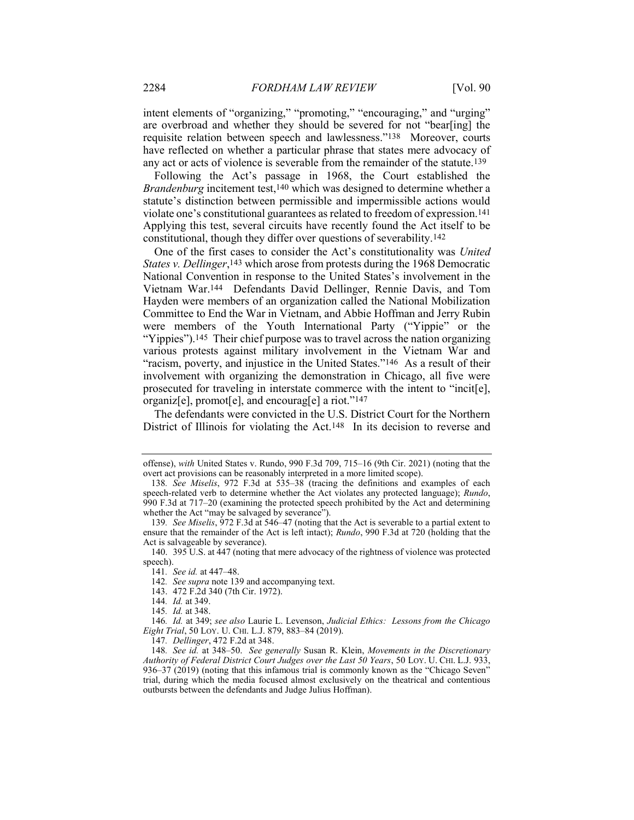intent elements of "organizing," "promoting," "encouraging," and "urging" are overbroad and whether they should be severed for not "bear[ing] the requisite relation between speech and lawlessness."138 Moreover, courts have reflected on whether a particular phrase that states mere advocacy of any act or acts of violence is severable from the remainder of the statute.139

Following the Act's passage in 1968, the Court established the Brandenburg incitement test,140 which was designed to determine whether a statute's distinction between permissible and impermissible actions would violate one's constitutional guarantees as related to freedom of expression.141 Applying this test, several circuits have recently found the Act itself to be constitutional, though they differ over questions of severability.142

One of the first cases to consider the Act's constitutionality was United States v. Dellinger,<sup>143</sup> which arose from protests during the 1968 Democratic National Convention in response to the United States's involvement in the Vietnam War.144 Defendants David Dellinger, Rennie Davis, and Tom Hayden were members of an organization called the National Mobilization Committee to End the War in Vietnam, and Abbie Hoffman and Jerry Rubin were members of the Youth International Party ("Yippie" or the "Yippies").<sup>145</sup> Their chief purpose was to travel across the nation organizing various protests against military involvement in the Vietnam War and "racism, poverty, and injustice in the United States."146 As a result of their involvement with organizing the demonstration in Chicago, all five were prosecuted for traveling in interstate commerce with the intent to "incit[e], organiz[e], promot[e], and encourag[e] a riot."147

The defendants were convicted in the U.S. District Court for the Northern District of Illinois for violating the Act.148 In its decision to reverse and

offense), with United States v. Rundo, 990 F.3d 709, 715–16 (9th Cir. 2021) (noting that the overt act provisions can be reasonably interpreted in a more limited scope).

<sup>138</sup>. See Miselis, 972 F.3d at 535–38 (tracing the definitions and examples of each speech-related verb to determine whether the Act violates any protected language); Rundo, 990 F.3d at 717–20 (examining the protected speech prohibited by the Act and determining whether the Act "may be salvaged by severance").

<sup>139</sup>. See Miselis, 972 F.3d at 546–47 (noting that the Act is severable to a partial extent to ensure that the remainder of the Act is left intact); Rundo, 990 F.3d at 720 (holding that the Act is salvageable by severance).

 <sup>140. 395</sup> U.S. at 447 (noting that mere advocacy of the rightness of violence was protected speech).

<sup>141</sup>. See id. at 447–48.

<sup>142.</sup> See supra note 139 and accompanying text.

 <sup>143. 472</sup> F.2d 340 (7th Cir. 1972).

<sup>144</sup>. Id. at 349.

<sup>145</sup>. Id. at 348.

<sup>146</sup>. Id. at 349; see also Laurie L. Levenson, Judicial Ethics: Lessons from the Chicago Eight Trial, 50 LOY. U. CHI. L.J. 879, 883–84 (2019).

<sup>147</sup>. Dellinger, 472 F.2d at 348.

<sup>148</sup>. See id. at 348–50. See generally Susan R. Klein, Movements in the Discretionary Authority of Federal District Court Judges over the Last 50 Years, 50 LOY. U. CHI. L.J. 933, 936–37 (2019) (noting that this infamous trial is commonly known as the "Chicago Seven" trial, during which the media focused almost exclusively on the theatrical and contentious outbursts between the defendants and Judge Julius Hoffman).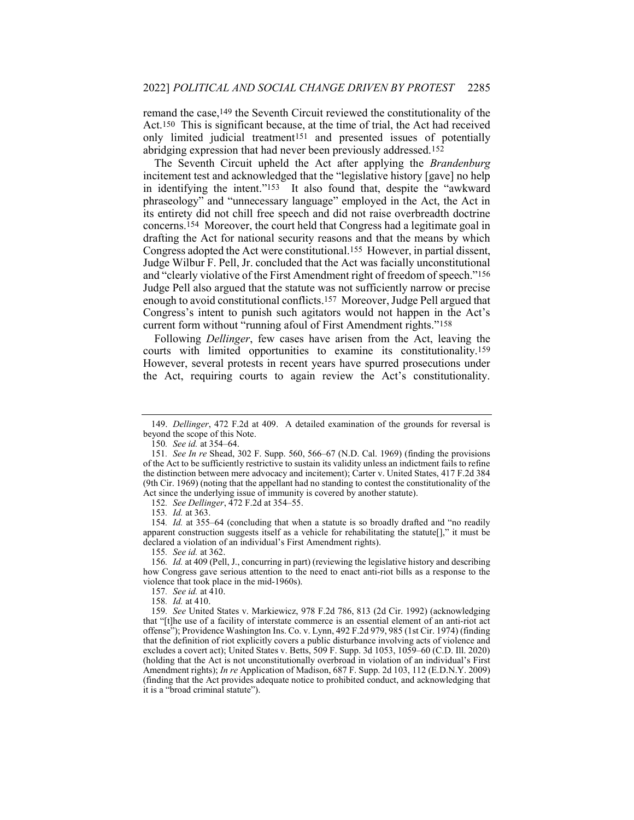remand the case,149 the Seventh Circuit reviewed the constitutionality of the Act.150 This is significant because, at the time of trial, the Act had received only limited judicial treatment151 and presented issues of potentially abridging expression that had never been previously addressed.152

The Seventh Circuit upheld the Act after applying the Brandenburg incitement test and acknowledged that the "legislative history [gave] no help in identifying the intent."153 It also found that, despite the "awkward phraseology" and "unnecessary language" employed in the Act, the Act in its entirety did not chill free speech and did not raise overbreadth doctrine concerns.154 Moreover, the court held that Congress had a legitimate goal in drafting the Act for national security reasons and that the means by which Congress adopted the Act were constitutional.155 However, in partial dissent, Judge Wilbur F. Pell, Jr. concluded that the Act was facially unconstitutional and "clearly violative of the First Amendment right of freedom of speech."156 Judge Pell also argued that the statute was not sufficiently narrow or precise enough to avoid constitutional conflicts.157 Moreover, Judge Pell argued that Congress's intent to punish such agitators would not happen in the Act's current form without "running afoul of First Amendment rights."158

Following Dellinger, few cases have arisen from the Act, leaving the courts with limited opportunities to examine its constitutionality.159 However, several protests in recent years have spurred prosecutions under the Act, requiring courts to again review the Act's constitutionality.

152. See Dellinger, 472 F.2d at 354–55.

155. See id. at 362.

 <sup>149.</sup> Dellinger, 472 F.2d at 409. A detailed examination of the grounds for reversal is beyond the scope of this Note.

<sup>150</sup>. See id. at 354–64.

<sup>151</sup>. See In re Shead, 302 F. Supp. 560, 566–67 (N.D. Cal. 1969) (finding the provisions of the Act to be sufficiently restrictive to sustain its validity unless an indictment fails to refine the distinction between mere advocacy and incitement); Carter v. United States, 417 F.2d 384 (9th Cir. 1969) (noting that the appellant had no standing to contest the constitutionality of the Act since the underlying issue of immunity is covered by another statute).

<sup>153</sup>. Id. at 363.

<sup>154</sup>. Id. at 355–64 (concluding that when a statute is so broadly drafted and "no readily apparent construction suggests itself as a vehicle for rehabilitating the statute[]," it must be declared a violation of an individual's First Amendment rights).

<sup>156</sup>. Id. at 409 (Pell, J., concurring in part) (reviewing the legislative history and describing how Congress gave serious attention to the need to enact anti-riot bills as a response to the violence that took place in the mid-1960s).

<sup>157.</sup> See id. at 410.

<sup>158</sup>. Id. at 410.

<sup>159</sup>. See United States v. Markiewicz, 978 F.2d 786, 813 (2d Cir. 1992) (acknowledging that "[t]he use of a facility of interstate commerce is an essential element of an anti-riot act offense"); Providence Washington Ins. Co. v. Lynn, 492 F.2d 979, 985 (1st Cir. 1974) (finding that the definition of riot explicitly covers a public disturbance involving acts of violence and excludes a covert act); United States v. Betts, 509 F. Supp. 3d 1053, 1059–60 (C.D. Ill. 2020) (holding that the Act is not unconstitutionally overbroad in violation of an individual's First Amendment rights); In re Application of Madison, 687 F. Supp. 2d 103, 112 (E.D.N.Y. 2009) (finding that the Act provides adequate notice to prohibited conduct, and acknowledging that it is a "broad criminal statute").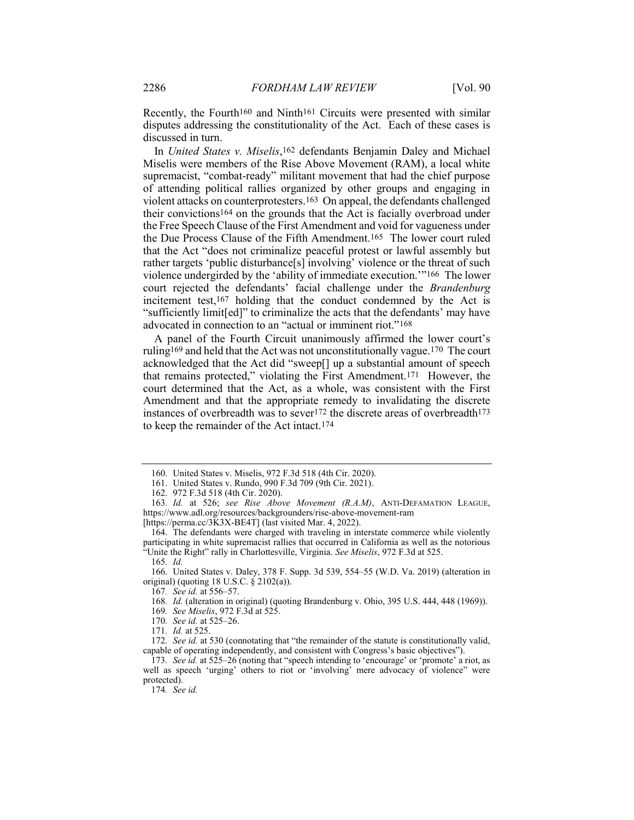Recently, the Fourth<sup>160</sup> and Ninth<sup>161</sup> Circuits were presented with similar disputes addressing the constitutionality of the Act. Each of these cases is discussed in turn.

In United States v. Miselis,162 defendants Benjamin Daley and Michael Miselis were members of the Rise Above Movement (RAM), a local white supremacist, "combat-ready" militant movement that had the chief purpose of attending political rallies organized by other groups and engaging in violent attacks on counterprotesters.163 On appeal, the defendants challenged their convictions164 on the grounds that the Act is facially overbroad under the Free Speech Clause of the First Amendment and void for vagueness under the Due Process Clause of the Fifth Amendment.165 The lower court ruled that the Act "does not criminalize peaceful protest or lawful assembly but rather targets 'public disturbance[s] involving' violence or the threat of such violence undergirded by the 'ability of immediate execution.'"166 The lower court rejected the defendants' facial challenge under the Brandenburg incitement test,167 holding that the conduct condemned by the Act is "sufficiently limit[ed]" to criminalize the acts that the defendants' may have advocated in connection to an "actual or imminent riot."168

A panel of the Fourth Circuit unanimously affirmed the lower court's ruling169 and held that the Act was not unconstitutionally vague.170 The court acknowledged that the Act did "sweep[] up a substantial amount of speech that remains protected," violating the First Amendment.171 However, the court determined that the Act, as a whole, was consistent with the First Amendment and that the appropriate remedy to invalidating the discrete instances of overbreadth was to sever<sup>172</sup> the discrete areas of overbreadth<sup>173</sup> to keep the remainder of the Act intact.174

174. See id.

 <sup>160.</sup> United States v. Miselis, 972 F.3d 518 (4th Cir. 2020).

 <sup>161.</sup> United States v. Rundo, 990 F.3d 709 (9th Cir. 2021).

 <sup>162. 972</sup> F.3d 518 (4th Cir. 2020).

<sup>163</sup>. Id. at 526; see Rise Above Movement (R.A.M), ANTI-DEFAMATION LEAGUE, https://www.adl.org/resources/backgrounders/rise-above-movement-ram [https://perma.cc/3K3X-BE4T] (last visited Mar. 4, 2022).

 <sup>164.</sup> The defendants were charged with traveling in interstate commerce while violently participating in white supremacist rallies that occurred in California as well as the notorious "Unite the Right" rally in Charlottesville, Virginia. See Miselis, 972 F.3d at 525.

<sup>165</sup>. Id.

 <sup>166.</sup> United States v. Daley, 378 F. Supp. 3d 539, 554–55 (W.D. Va. 2019) (alteration in original) (quoting 18 U.S.C. § 2102(a)).

<sup>167</sup>. See id. at 556–57.

<sup>168</sup>. Id. (alteration in original) (quoting Brandenburg v. Ohio, 395 U.S. 444, 448 (1969)).

<sup>169</sup>. See Miselis, 972 F.3d at 525.

<sup>170</sup>. See id. at 525–26.

<sup>171</sup>. Id. at 525.

<sup>172.</sup> See id. at 530 (connotating that "the remainder of the statute is constitutionally valid, capable of operating independently, and consistent with Congress's basic objectives").

<sup>173</sup>. See id. at 525–26 (noting that "speech intending to 'encourage' or 'promote' a riot, as well as speech 'urging' others to riot or 'involving' mere advocacy of violence" were protected).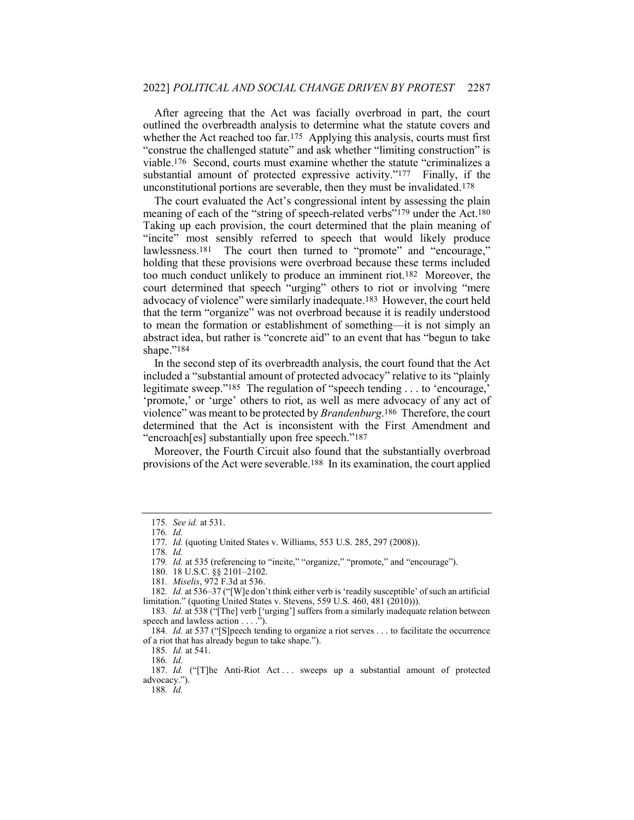After agreeing that the Act was facially overbroad in part, the court outlined the overbreadth analysis to determine what the statute covers and whether the Act reached too far.<sup>175</sup> Applying this analysis, courts must first "construe the challenged statute" and ask whether "limiting construction" is viable.176 Second, courts must examine whether the statute "criminalizes a substantial amount of protected expressive activity."177 Finally, if the unconstitutional portions are severable, then they must be invalidated.178

The court evaluated the Act's congressional intent by assessing the plain meaning of each of the "string of speech-related verbs"<sup>179</sup> under the Act.<sup>180</sup> Taking up each provision, the court determined that the plain meaning of "incite" most sensibly referred to speech that would likely produce lawlessness.<sup>181</sup> The court then turned to "promote" and "encourage," holding that these provisions were overbroad because these terms included too much conduct unlikely to produce an imminent riot.182 Moreover, the court determined that speech "urging" others to riot or involving "mere advocacy of violence" were similarly inadequate.183 However, the court held that the term "organize" was not overbroad because it is readily understood to mean the formation or establishment of something—it is not simply an abstract idea, but rather is "concrete aid" to an event that has "begun to take shape."<sup>184</sup>

In the second step of its overbreadth analysis, the court found that the Act included a "substantial amount of protected advocacy" relative to its "plainly legitimate sweep."185 The regulation of "speech tending . . . to 'encourage,' 'promote,' or 'urge' others to riot, as well as mere advocacy of any act of violence" was meant to be protected by *Brandenburg*.<sup>186</sup> Therefore, the court determined that the Act is inconsistent with the First Amendment and "encroach[es] substantially upon free speech."187

Moreover, the Fourth Circuit also found that the substantially overbroad provisions of the Act were severable.188 In its examination, the court applied

186. Id.

188. Id.

<sup>175</sup>. See id. at 531.

<sup>176</sup>. Id.

<sup>177</sup>. Id. (quoting United States v. Williams, 553 U.S. 285, 297 (2008)).

<sup>178</sup>. Id.

<sup>179.</sup> Id. at 535 (referencing to "incite," "organize," "promote," and "encourage").

 <sup>180. 18</sup> U.S.C. §§ 2101–2102.

<sup>181</sup>. Miselis, 972 F.3d at 536.

<sup>182</sup>. Id. at 536–37 ("[W]e don't think either verb is 'readily susceptible' of such an artificial limitation." (quoting United States v. Stevens, 559 U.S. 460, 481 (2010))).

<sup>183</sup>. Id. at 538 ("[The] verb ['urging'] suffers from a similarly inadequate relation between speech and lawless action . . . .").

<sup>184</sup>. Id. at 537 ("[S]peech tending to organize a riot serves . . . to facilitate the occurrence of a riot that has already begun to take shape.").

<sup>185</sup>. Id. at 541.

<sup>187</sup>. Id. ("[T]he Anti-Riot Act . . . sweeps up a substantial amount of protected advocacy.").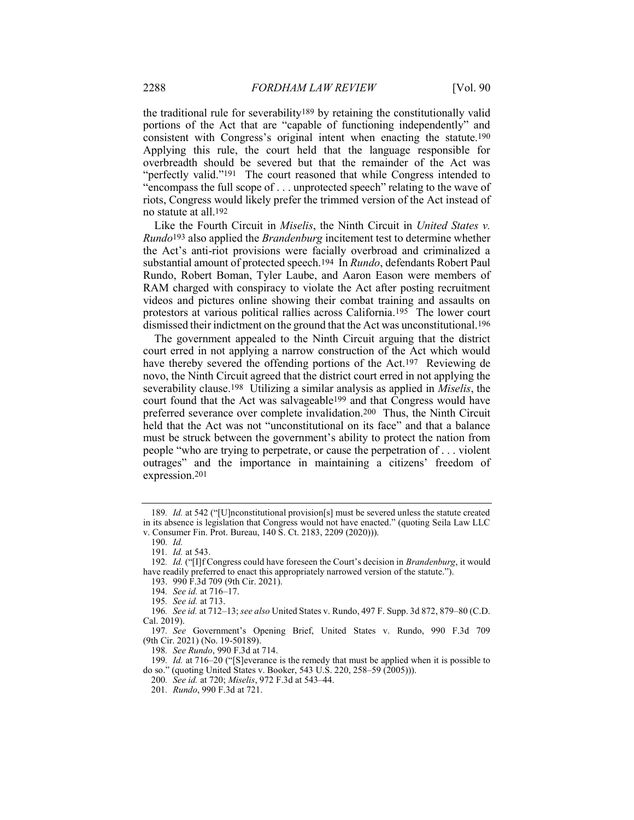the traditional rule for severability189 by retaining the constitutionally valid portions of the Act that are "capable of functioning independently" and consistent with Congress's original intent when enacting the statute.190 Applying this rule, the court held that the language responsible for overbreadth should be severed but that the remainder of the Act was "perfectly valid."<sup>191</sup> The court reasoned that while Congress intended to "encompass the full scope of . . . unprotected speech" relating to the wave of riots, Congress would likely prefer the trimmed version of the Act instead of no statute at all.192

Like the Fourth Circuit in *Miselis*, the Ninth Circuit in *United States v.* Rundo193 also applied the Brandenburg incitement test to determine whether the Act's anti-riot provisions were facially overbroad and criminalized a substantial amount of protected speech.194 In Rundo, defendants Robert Paul Rundo, Robert Boman, Tyler Laube, and Aaron Eason were members of RAM charged with conspiracy to violate the Act after posting recruitment videos and pictures online showing their combat training and assaults on protestors at various political rallies across California.195 The lower court dismissed their indictment on the ground that the Act was unconstitutional.196

The government appealed to the Ninth Circuit arguing that the district court erred in not applying a narrow construction of the Act which would have thereby severed the offending portions of the Act.<sup>197</sup> Reviewing de novo, the Ninth Circuit agreed that the district court erred in not applying the severability clause.<sup>198</sup> Utilizing a similar analysis as applied in *Miselis*, the court found that the Act was salvageable199 and that Congress would have preferred severance over complete invalidation.200 Thus, the Ninth Circuit held that the Act was not "unconstitutional on its face" and that a balance must be struck between the government's ability to protect the nation from people "who are trying to perpetrate, or cause the perpetration of . . . violent outrages" and the importance in maintaining a citizens' freedom of expression.201

199. Id. at 716–20 ("[S]everance is the remedy that must be applied when it is possible to do so." (quoting United States v. Booker, 543 U.S. 220, 258–59 (2005))).

<sup>189.</sup> Id. at 542 ("[U]nconstitutional provision[s] must be severed unless the statute created in its absence is legislation that Congress would not have enacted." (quoting Seila Law LLC v. Consumer Fin. Prot. Bureau, 140 S. Ct. 2183, 2209 (2020))).

<sup>190</sup>. Id.

<sup>191</sup>. Id. at 543.

<sup>192.</sup> Id. ("[I]f Congress could have foreseen the Court's decision in Brandenburg, it would have readily preferred to enact this appropriately narrowed version of the statute.").

 <sup>193. 990</sup> F.3d 709 (9th Cir. 2021).

<sup>194</sup>. See id. at 716–17.

<sup>195</sup>. See id. at 713.

<sup>196</sup>. See id. at 712–13; see also United States v. Rundo, 497 F. Supp. 3d 872, 879–80 (C.D. Cal. 2019).

<sup>197</sup>. See Government's Opening Brief, United States v. Rundo, 990 F.3d 709 (9th Cir. 2021) (No. 19-50189).

<sup>198</sup>. See Rundo, 990 F.3d at 714.

<sup>200</sup>. See id. at 720; Miselis, 972 F.3d at 543–44.

<sup>201</sup>. Rundo, 990 F.3d at 721.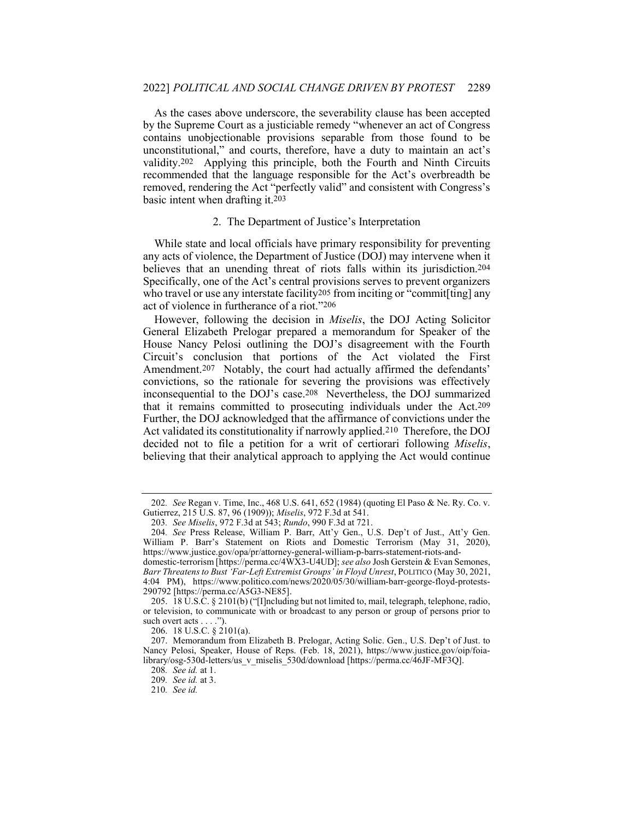As the cases above underscore, the severability clause has been accepted by the Supreme Court as a justiciable remedy "whenever an act of Congress contains unobjectionable provisions separable from those found to be unconstitutional," and courts, therefore, have a duty to maintain an act's validity.202 Applying this principle, both the Fourth and Ninth Circuits recommended that the language responsible for the Act's overbreadth be removed, rendering the Act "perfectly valid" and consistent with Congress's basic intent when drafting it.203

#### 2. The Department of Justice's Interpretation

While state and local officials have primary responsibility for preventing any acts of violence, the Department of Justice (DOJ) may intervene when it believes that an unending threat of riots falls within its jurisdiction.204 Specifically, one of the Act's central provisions serves to prevent organizers who travel or use any interstate facility<sup>205</sup> from inciting or "commit[ting] any act of violence in furtherance of a riot."206

However, following the decision in Miselis, the DOJ Acting Solicitor General Elizabeth Prelogar prepared a memorandum for Speaker of the House Nancy Pelosi outlining the DOJ's disagreement with the Fourth Circuit's conclusion that portions of the Act violated the First Amendment.207 Notably, the court had actually affirmed the defendants' convictions, so the rationale for severing the provisions was effectively inconsequential to the DOJ's case.208 Nevertheless, the DOJ summarized that it remains committed to prosecuting individuals under the Act.209 Further, the DOJ acknowledged that the affirmance of convictions under the Act validated its constitutionality if narrowly applied.210 Therefore, the DOJ decided not to file a petition for a writ of certiorari following Miselis, believing that their analytical approach to applying the Act would continue

<sup>202</sup>. See Regan v. Time, Inc., 468 U.S. 641, 652 (1984) (quoting El Paso & Ne. Ry. Co. v. Gutierrez, 215 U.S. 87, 96 (1909)); Miselis, 972 F.3d at 541.

<sup>203</sup>. See Miselis, 972 F.3d at 543; Rundo, 990 F.3d at 721.

<sup>204</sup>. See Press Release, William P. Barr, Att'y Gen., U.S. Dep't of Just., Att'y Gen. William P. Barr's Statement on Riots and Domestic Terrorism (May 31, 2020), https://www.justice.gov/opa/pr/attorney-general-william-p-barrs-statement-riots-anddomestic-terrorism [https://perma.cc/4WX3-U4UD]; see also Josh Gerstein & Evan Semones,

Barr Threatens to Bust 'Far-Left Extremist Groups' in Floyd Unrest, POLITICO (May 30, 2021, 4:04 PM), https://www.politico.com/news/2020/05/30/william-barr-george-floyd-protests-290792 [https://perma.cc/A5G3-NE85].

 <sup>205. 18</sup> U.S.C. § 2101(b) ("[I]ncluding but not limited to, mail, telegraph, telephone, radio, or television, to communicate with or broadcast to any person or group of persons prior to such overt acts . . . .").

 <sup>206. 18</sup> U.S.C. § 2101(a).

 <sup>207.</sup> Memorandum from Elizabeth B. Prelogar, Acting Solic. Gen., U.S. Dep't of Just. to Nancy Pelosi, Speaker, House of Reps. (Feb. 18, 2021), https://www.justice.gov/oip/foialibrary/osg-530d-letters/us\_v\_miselis\_530d/download [https://perma.cc/46JF-MF3Q].

<sup>208</sup>. See id. at 1.

<sup>209</sup>. See id. at 3.

<sup>210</sup>. See id.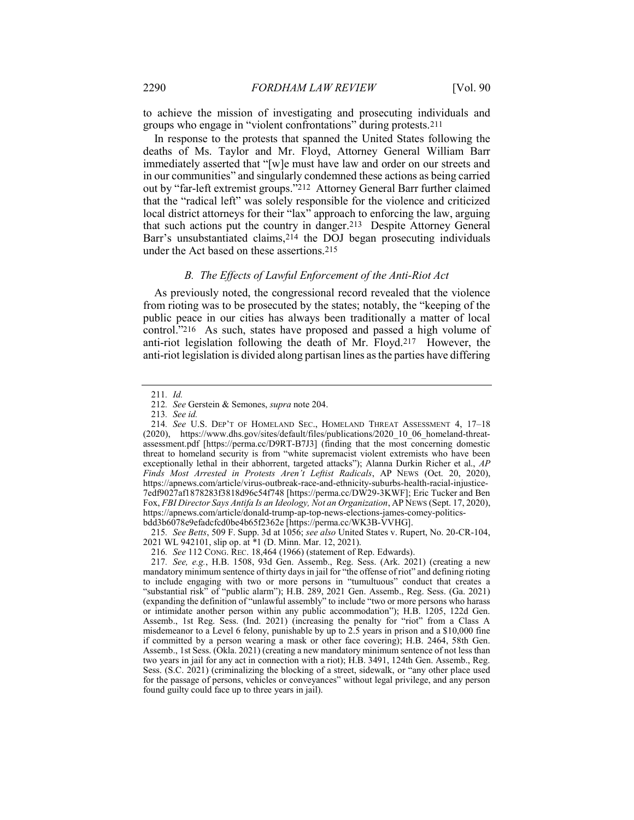to achieve the mission of investigating and prosecuting individuals and groups who engage in "violent confrontations" during protests.211

In response to the protests that spanned the United States following the deaths of Ms. Taylor and Mr. Floyd, Attorney General William Barr immediately asserted that "[w]e must have law and order on our streets and in our communities" and singularly condemned these actions as being carried out by "far-left extremist groups."212 Attorney General Barr further claimed that the "radical left" was solely responsible for the violence and criticized local district attorneys for their "lax" approach to enforcing the law, arguing that such actions put the country in danger.213 Despite Attorney General Barr's unsubstantiated claims,214 the DOJ began prosecuting individuals under the Act based on these assertions.215

## B. The Effects of Lawful Enforcement of the Anti-Riot Act

As previously noted, the congressional record revealed that the violence from rioting was to be prosecuted by the states; notably, the "keeping of the public peace in our cities has always been traditionally a matter of local control."216 As such, states have proposed and passed a high volume of anti-riot legislation following the death of Mr. Floyd.217 However, the anti-riot legislation is divided along partisan lines as the parties have differing

215. See Betts, 509 F. Supp. 3d at 1056; see also United States v. Rupert, No. 20-CR-104, 2021 WL 942101, slip op. at \*1 (D. Minn. Mar. 12, 2021).

216. See 112 CONG. REC. 18,464 (1966) (statement of Rep. Edwards).

<sup>211</sup>. Id.

<sup>212</sup>. See Gerstein & Semones, supra note 204.

<sup>213</sup>. See id.

<sup>214</sup>. See U.S. DEP'T OF HOMELAND SEC., HOMELAND THREAT ASSESSMENT 4, 17–18 (2020), https://www.dhs.gov/sites/default/files/publications/2020\_10\_06\_homeland-threatassessment.pdf [https://perma.cc/D9RT-B7J3] (finding that the most concerning domestic threat to homeland security is from "white supremacist violent extremists who have been exceptionally lethal in their abhorrent, targeted attacks"); Alanna Durkin Richer et al., AP Finds Most Arrested in Protests Aren't Leftist Radicals, AP NEWS (Oct. 20, 2020), https://apnews.com/article/virus-outbreak-race-and-ethnicity-suburbs-health-racial-injustice-7edf9027af1878283f3818d96c54f748 [https://perma.cc/DW29-3KWF]; Eric Tucker and Ben Fox, FBI Director Says Antifa Is an Ideology, Not an Organization, AP NEWS (Sept. 17, 2020), https://apnews.com/article/donald-trump-ap-top-news-elections-james-comey-politicsbdd3b6078e9efadcfcd0be4b65f2362e [https://perma.cc/WK3B-VVHG].

<sup>217</sup>. See, e.g., H.B. 1508, 93d Gen. Assemb., Reg. Sess. (Ark. 2021) (creating a new mandatory minimum sentence of thirty days in jail for "the offense of riot" and defining rioting to include engaging with two or more persons in "tumultuous" conduct that creates a "substantial risk" of "public alarm"); H.B. 289, 2021 Gen. Assemb., Reg. Sess. (Ga. 2021) (expanding the definition of "unlawful assembly" to include "two or more persons who harass or intimidate another person within any public accommodation"); H.B. 1205, 122d Gen. Assemb., 1st Reg. Sess. (Ind. 2021) (increasing the penalty for "riot" from a Class A misdemeanor to a Level 6 felony, punishable by up to 2.5 years in prison and a \$10,000 fine if committed by a person wearing a mask or other face covering); H.B. 2464, 58th Gen. Assemb., 1st Sess. (Okla. 2021) (creating a new mandatory minimum sentence of not less than two years in jail for any act in connection with a riot); H.B. 3491, 124th Gen. Assemb., Reg. Sess. (S.C. 2021) (criminalizing the blocking of a street, sidewalk, or "any other place used for the passage of persons, vehicles or conveyances" without legal privilege, and any person found guilty could face up to three years in jail).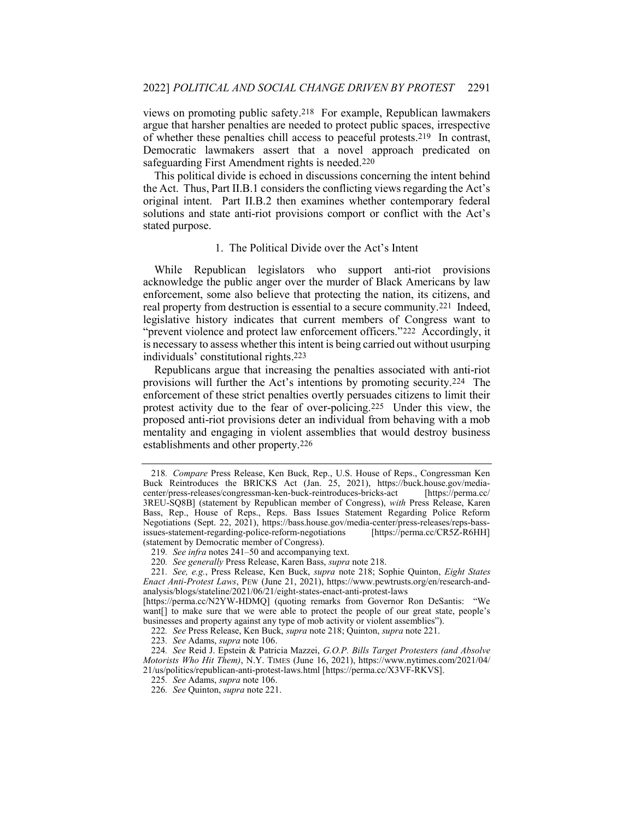views on promoting public safety.218 For example, Republican lawmakers argue that harsher penalties are needed to protect public spaces, irrespective of whether these penalties chill access to peaceful protests.219 In contrast, Democratic lawmakers assert that a novel approach predicated on safeguarding First Amendment rights is needed.220

This political divide is echoed in discussions concerning the intent behind the Act. Thus, Part II.B.1 considers the conflicting views regarding the Act's original intent. Part II.B.2 then examines whether contemporary federal solutions and state anti-riot provisions comport or conflict with the Act's stated purpose.

#### 1. The Political Divide over the Act's Intent

While Republican legislators who support anti-riot provisions acknowledge the public anger over the murder of Black Americans by law enforcement, some also believe that protecting the nation, its citizens, and real property from destruction is essential to a secure community.221 Indeed, legislative history indicates that current members of Congress want to "prevent violence and protect law enforcement officers."222 Accordingly, it is necessary to assess whether this intent is being carried out without usurping individuals' constitutional rights.223

Republicans argue that increasing the penalties associated with anti-riot provisions will further the Act's intentions by promoting security.224 The enforcement of these strict penalties overtly persuades citizens to limit their protest activity due to the fear of over-policing.225 Under this view, the proposed anti-riot provisions deter an individual from behaving with a mob mentality and engaging in violent assemblies that would destroy business establishments and other property.226

<sup>218</sup>. Compare Press Release, Ken Buck, Rep., U.S. House of Reps., Congressman Ken Buck Reintroduces the BRICKS Act (Jan. 25, 2021), https://buck.house.gov/media-center/press-releases/congressman-ken-buck-reintroduces-bricks-act [https://perma.cc/ center/press-releases/congressman-ken-buck-reintroduces-bricks-act 3REU-SQ8B] (statement by Republican member of Congress), with Press Release, Karen Bass, Rep., House of Reps., Reps. Bass Issues Statement Regarding Police Reform Negotiations (Sept. 22, 2021), https://bass.house.gov/media-center/press-releases/reps-bassissues-statement-regarding-police-reform-negotiations [https://perma.cc/CR5Z-R6HH] (statement by Democratic member of Congress).

<sup>219</sup>. See infra notes 241–50 and accompanying text.

<sup>220.</sup> See generally Press Release, Karen Bass, supra note 218.

<sup>221.</sup> See, e.g., Press Release, Ken Buck, supra note 218; Sophie Quinton, Eight States Enact Anti-Protest Laws, PEW (June 21, 2021), https://www.pewtrusts.org/en/research-andanalysis/blogs/stateline/2021/06/21/eight-states-enact-anti-protest-laws

<sup>[</sup>https://perma.cc/N2YW-HDMQ] (quoting remarks from Governor Ron DeSantis: "We want[] to make sure that we were able to protect the people of our great state, people's businesses and property against any type of mob activity or violent assemblies").

<sup>222</sup>. See Press Release, Ken Buck, supra note 218; Quinton, supra note 221.

<sup>223</sup>. See Adams, supra note 106.

<sup>224</sup>. See Reid J. Epstein & Patricia Mazzei, G.O.P. Bills Target Protesters (and Absolve Motorists Who Hit Them), N.Y. TIMES (June 16, 2021), https://www.nytimes.com/2021/04/ 21/us/politics/republican-anti-protest-laws.html [https://perma.cc/X3VF-RKVS].

<sup>225</sup>. See Adams, supra note 106.

<sup>226</sup>. See Quinton, supra note 221.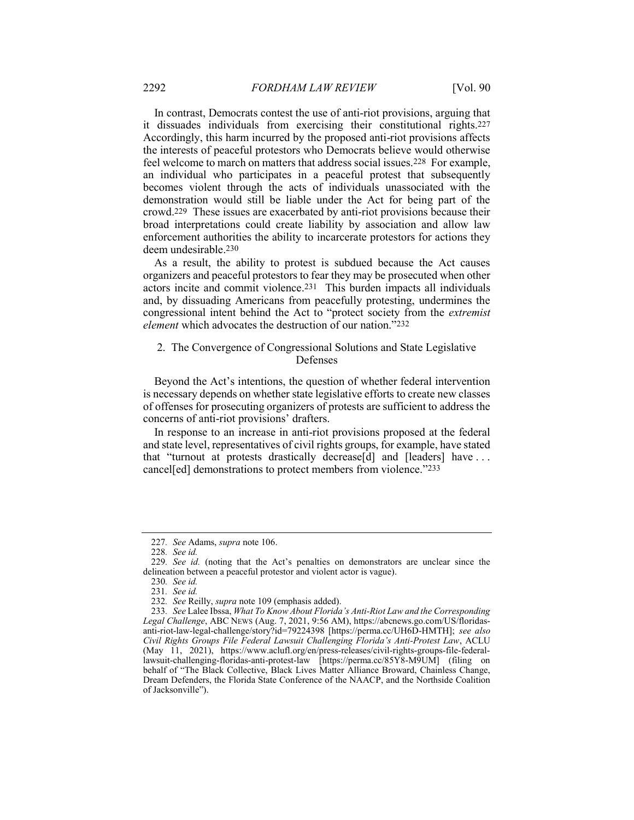In contrast, Democrats contest the use of anti-riot provisions, arguing that it dissuades individuals from exercising their constitutional rights.227 Accordingly, this harm incurred by the proposed anti-riot provisions affects the interests of peaceful protestors who Democrats believe would otherwise feel welcome to march on matters that address social issues.228 For example, an individual who participates in a peaceful protest that subsequently becomes violent through the acts of individuals unassociated with the demonstration would still be liable under the Act for being part of the crowd.229 These issues are exacerbated by anti-riot provisions because their broad interpretations could create liability by association and allow law enforcement authorities the ability to incarcerate protestors for actions they deem undesirable.230

As a result, the ability to protest is subdued because the Act causes organizers and peaceful protestors to fear they may be prosecuted when other actors incite and commit violence.231 This burden impacts all individuals and, by dissuading Americans from peacefully protesting, undermines the congressional intent behind the Act to "protect society from the extremist element which advocates the destruction of our nation."232

## 2. The Convergence of Congressional Solutions and State Legislative Defenses

Beyond the Act's intentions, the question of whether federal intervention is necessary depends on whether state legislative efforts to create new classes of offenses for prosecuting organizers of protests are sufficient to address the concerns of anti-riot provisions' drafters.

In response to an increase in anti-riot provisions proposed at the federal and state level, representatives of civil rights groups, for example, have stated that "turnout at protests drastically decrease[d] and [leaders] have . . . cancel[ed] demonstrations to protect members from violence."233

<sup>227</sup>. See Adams, supra note 106.

<sup>228</sup>. See id.

<sup>229</sup>. See id. (noting that the Act's penalties on demonstrators are unclear since the delineation between a peaceful protestor and violent actor is vague).

<sup>230</sup>. See id.

<sup>231</sup>. See id.

<sup>232</sup>. See Reilly, supra note 109 (emphasis added).

<sup>233</sup>. See Lalee Ibssa, What To Know About Florida's Anti-Riot Law and the Corresponding Legal Challenge, ABC NEWS (Aug. 7, 2021, 9:56 AM), https://abcnews.go.com/US/floridasanti-riot-law-legal-challenge/story?id=79224398 [https://perma.cc/UH6D-HMTH]; see also Civil Rights Groups File Federal Lawsuit Challenging Florida's Anti-Protest Law, ACLU (May 11, 2021), https://www.aclufl.org/en/press-releases/civil-rights-groups-file-federallawsuit-challenging-floridas-anti-protest-law [https://perma.cc/85Y8-M9UM] (filing on behalf of "The Black Collective, Black Lives Matter Alliance Broward, Chainless Change, Dream Defenders, the Florida State Conference of the NAACP, and the Northside Coalition of Jacksonville").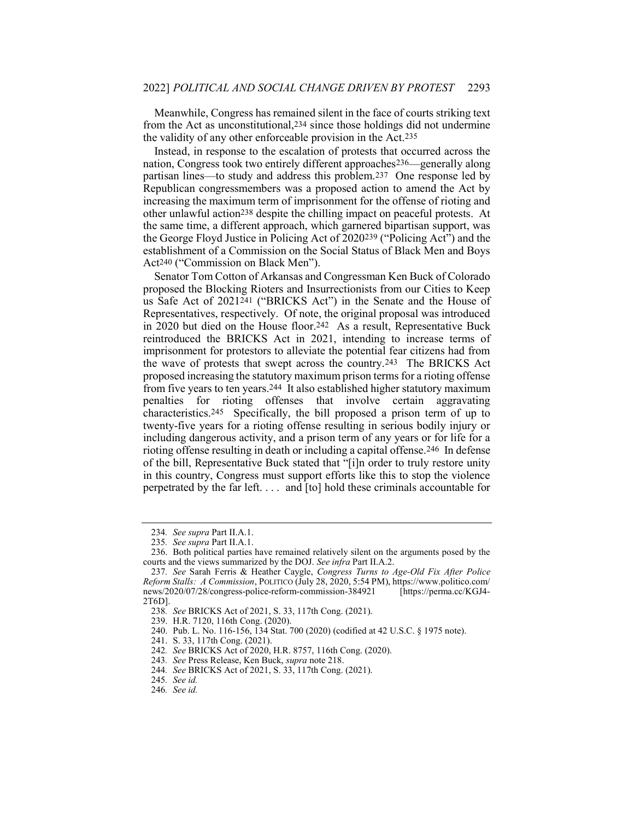Meanwhile, Congress has remained silent in the face of courts striking text from the Act as unconstitutional,234 since those holdings did not undermine the validity of any other enforceable provision in the Act.235

Instead, in response to the escalation of protests that occurred across the nation, Congress took two entirely different approaches236—generally along partisan lines—to study and address this problem.237 One response led by Republican congressmembers was a proposed action to amend the Act by increasing the maximum term of imprisonment for the offense of rioting and other unlawful action238 despite the chilling impact on peaceful protests. At the same time, a different approach, which garnered bipartisan support, was the George Floyd Justice in Policing Act of 2020239 ("Policing Act") and the establishment of a Commission on the Social Status of Black Men and Boys Act240 ("Commission on Black Men").

Senator Tom Cotton of Arkansas and Congressman Ken Buck of Colorado proposed the Blocking Rioters and Insurrectionists from our Cities to Keep us Safe Act of 2021241 ("BRICKS Act") in the Senate and the House of Representatives, respectively. Of note, the original proposal was introduced in 2020 but died on the House floor.<sup>242</sup> As a result, Representative Buck reintroduced the BRICKS Act in 2021, intending to increase terms of imprisonment for protestors to alleviate the potential fear citizens had from the wave of protests that swept across the country.243 The BRICKS Act proposed increasing the statutory maximum prison terms for a rioting offense from five years to ten years.244 It also established higher statutory maximum penalties for rioting offenses that involve certain aggravating characteristics.245 Specifically, the bill proposed a prison term of up to twenty-five years for a rioting offense resulting in serious bodily injury or including dangerous activity, and a prison term of any years or for life for a rioting offense resulting in death or including a capital offense.<sup>246</sup> In defense of the bill, Representative Buck stated that "[i]n order to truly restore unity in this country, Congress must support efforts like this to stop the violence perpetrated by the far left. . . . and [to] hold these criminals accountable for

<sup>234</sup>. See supra Part II.A.1.

<sup>235</sup>. See supra Part II.A.1.

 <sup>236.</sup> Both political parties have remained relatively silent on the arguments posed by the courts and the views summarized by the DOJ. See infra Part II.A.2.

<sup>237</sup>. See Sarah Ferris & Heather Caygle, Congress Turns to Age-Old Fix After Police Reform Stalls: A Commission, POLITICO (July 28, 2020, 5:54 PM), https://www.politico.com/ news/2020/07/28/congress-police-reform-commission-384921 2T6D].

<sup>238</sup>. See BRICKS Act of 2021, S. 33, 117th Cong. (2021).

 <sup>239.</sup> H.R. 7120, 116th Cong. (2020).

 <sup>240.</sup> Pub. L. No. 116-156, 134 Stat. 700 (2020) (codified at 42 U.S.C. § 1975 note).

 <sup>241.</sup> S. 33, 117th Cong. (2021).

<sup>242</sup>. See BRICKS Act of 2020, H.R. 8757, 116th Cong. (2020).

<sup>243</sup>. See Press Release, Ken Buck, supra note 218.

<sup>244</sup>. See BRICKS Act of 2021, S. 33, 117th Cong. (2021).

<sup>245</sup>. See id.

<sup>246</sup>. See id.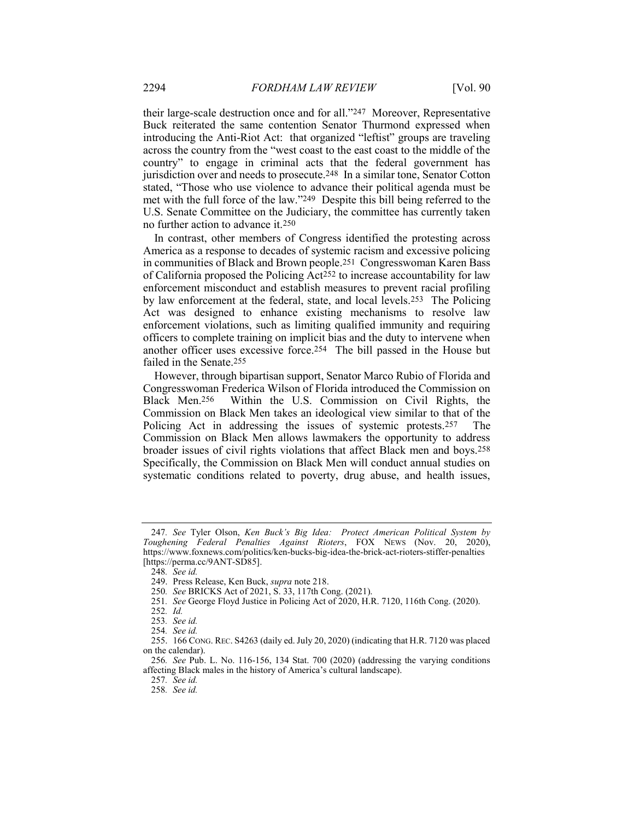their large-scale destruction once and for all."247 Moreover, Representative Buck reiterated the same contention Senator Thurmond expressed when introducing the Anti-Riot Act: that organized "leftist" groups are traveling across the country from the "west coast to the east coast to the middle of the country" to engage in criminal acts that the federal government has jurisdiction over and needs to prosecute.248 In a similar tone, Senator Cotton stated, "Those who use violence to advance their political agenda must be met with the full force of the law."249 Despite this bill being referred to the U.S. Senate Committee on the Judiciary, the committee has currently taken no further action to advance it.250

In contrast, other members of Congress identified the protesting across America as a response to decades of systemic racism and excessive policing in communities of Black and Brown people.251 Congresswoman Karen Bass of California proposed the Policing Act252 to increase accountability for law enforcement misconduct and establish measures to prevent racial profiling by law enforcement at the federal, state, and local levels.253 The Policing Act was designed to enhance existing mechanisms to resolve law enforcement violations, such as limiting qualified immunity and requiring officers to complete training on implicit bias and the duty to intervene when another officer uses excessive force.254 The bill passed in the House but failed in the Senate.255

However, through bipartisan support, Senator Marco Rubio of Florida and Congresswoman Frederica Wilson of Florida introduced the Commission on Black Men.256 Within the U.S. Commission on Civil Rights, the Commission on Black Men takes an ideological view similar to that of the Policing Act in addressing the issues of systemic protests.257 The Commission on Black Men allows lawmakers the opportunity to address broader issues of civil rights violations that affect Black men and boys.258 Specifically, the Commission on Black Men will conduct annual studies on systematic conditions related to poverty, drug abuse, and health issues,

<sup>247</sup>. See Tyler Olson, Ken Buck's Big Idea: Protect American Political System by Toughening Federal Penalties Against Rioters, FOX NEWS (Nov. 20, 2020), https://www.foxnews.com/politics/ken-bucks-big-idea-the-brick-act-rioters-stiffer-penalties [https://perma.cc/9ANT-SD85].

<sup>248</sup>. See id.

 <sup>249.</sup> Press Release, Ken Buck, supra note 218.

<sup>250</sup>. See BRICKS Act of 2021, S. 33, 117th Cong. (2021).

<sup>251</sup>. See George Floyd Justice in Policing Act of 2020, H.R. 7120, 116th Cong. (2020).

<sup>252</sup>. Id.

<sup>253</sup>. See id.

<sup>254</sup>. See id.

 <sup>255. 166</sup> CONG. REC. S4263 (daily ed. July 20, 2020) (indicating that H.R. 7120 was placed on the calendar).

<sup>256</sup>. See Pub. L. No. 116-156, 134 Stat. 700 (2020) (addressing the varying conditions affecting Black males in the history of America's cultural landscape).

<sup>257</sup>. See id. 258. See id.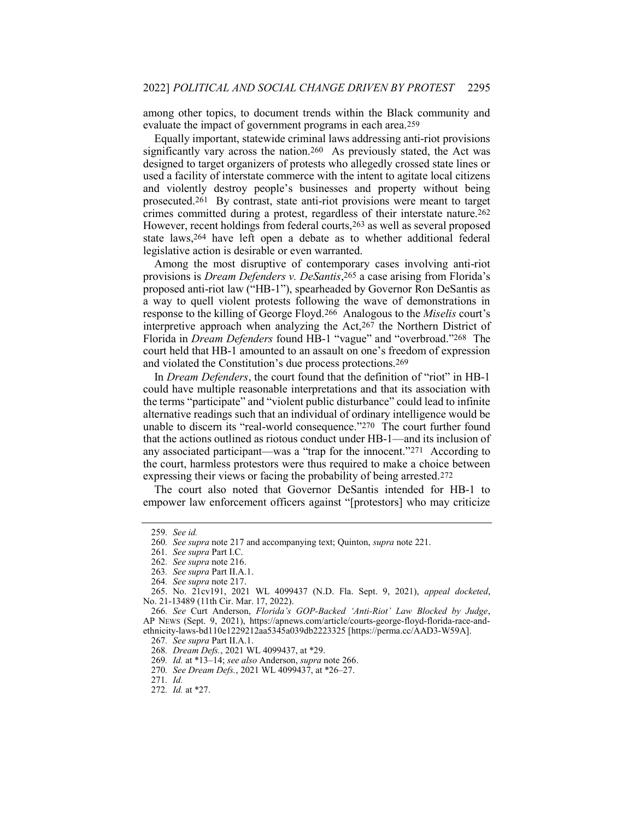among other topics, to document trends within the Black community and evaluate the impact of government programs in each area.259

Equally important, statewide criminal laws addressing anti-riot provisions significantly vary across the nation.260 As previously stated, the Act was designed to target organizers of protests who allegedly crossed state lines or used a facility of interstate commerce with the intent to agitate local citizens and violently destroy people's businesses and property without being prosecuted.261 By contrast, state anti-riot provisions were meant to target crimes committed during a protest, regardless of their interstate nature.262 However, recent holdings from federal courts,263 as well as several proposed state laws,264 have left open a debate as to whether additional federal legislative action is desirable or even warranted.

Among the most disruptive of contemporary cases involving anti-riot provisions is Dream Defenders v. DeSantis, 265 a case arising from Florida's proposed anti-riot law ("HB-1"), spearheaded by Governor Ron DeSantis as a way to quell violent protests following the wave of demonstrations in response to the killing of George Floyd.266 Analogous to the Miselis court's interpretive approach when analyzing the Act,267 the Northern District of Florida in Dream Defenders found HB-1 "vague" and "overbroad."268 The court held that HB-1 amounted to an assault on one's freedom of expression and violated the Constitution's due process protections.269

In Dream Defenders, the court found that the definition of "riot" in HB-1 could have multiple reasonable interpretations and that its association with the terms "participate" and "violent public disturbance" could lead to infinite alternative readings such that an individual of ordinary intelligence would be unable to discern its "real-world consequence."270 The court further found that the actions outlined as riotous conduct under HB-1—and its inclusion of any associated participant—was a "trap for the innocent."271 According to the court, harmless protestors were thus required to make a choice between expressing their views or facing the probability of being arrested.272

The court also noted that Governor DeSantis intended for HB-1 to empower law enforcement officers against "[protestors] who may criticize

<sup>259</sup>. See id.

<sup>260</sup>. See supra note 217 and accompanying text; Quinton, supra note 221.

<sup>261</sup>. See supra Part I.C.

<sup>262</sup>. See supra note 216.

<sup>263</sup>. See supra Part II.A.1.

<sup>264</sup>. See supra note 217.

 <sup>265.</sup> No. 21cv191, 2021 WL 4099437 (N.D. Fla. Sept. 9, 2021), appeal docketed, No. 21-13489 (11th Cir. Mar. 17, 2022).

<sup>266</sup>. See Curt Anderson, Florida's GOP-Backed 'Anti-Riot' Law Blocked by Judge, AP NEWS (Sept. 9, 2021), https://apnews.com/article/courts-george-floyd-florida-race-andethnicity-laws-bd110e1229212aa5345a039db2223325 [https://perma.cc/AAD3-W59A].

<sup>267</sup>. See supra Part II.A.1.

<sup>268</sup>. Dream Defs., 2021 WL 4099437, at \*29.

<sup>269.</sup> Id. at \*13-14; see also Anderson, supra note 266.

<sup>270</sup>. See Dream Defs., 2021 WL 4099437, at \*26–27.

<sup>271</sup>. Id.

<sup>272</sup>. Id. at \*27.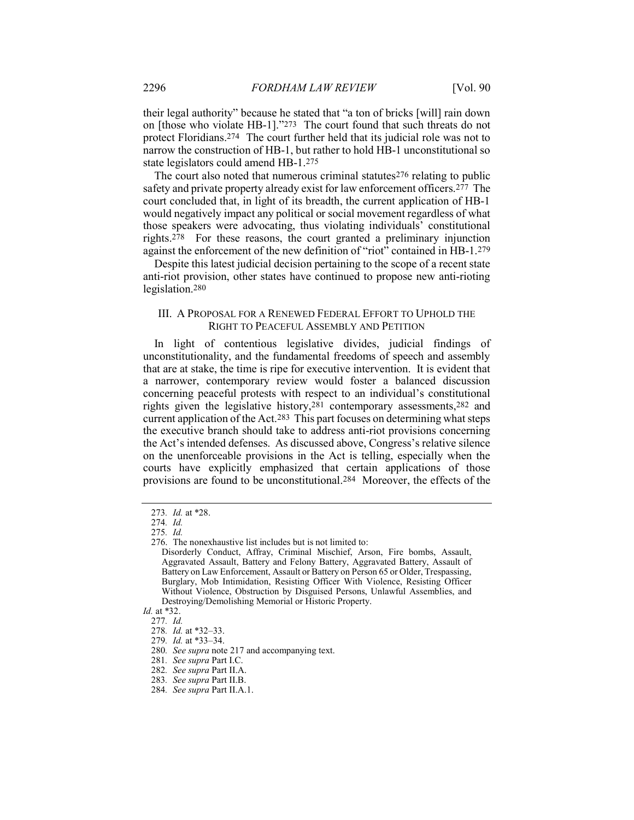their legal authority" because he stated that "a ton of bricks [will] rain down on [those who violate HB-1]."273 The court found that such threats do not protect Floridians.274 The court further held that its judicial role was not to narrow the construction of HB-1, but rather to hold HB-1 unconstitutional so state legislators could amend HB-1.275

The court also noted that numerous criminal statutes<sup>276</sup> relating to public safety and private property already exist for law enforcement officers.277 The court concluded that, in light of its breadth, the current application of HB-1 would negatively impact any political or social movement regardless of what those speakers were advocating, thus violating individuals' constitutional rights.278 For these reasons, the court granted a preliminary injunction against the enforcement of the new definition of "riot" contained in HB-1.279

Despite this latest judicial decision pertaining to the scope of a recent state anti-riot provision, other states have continued to propose new anti-rioting legislation.280

### III. A PROPOSAL FOR A RENEWED FEDERAL EFFORT TO UPHOLD THE RIGHT TO PEACEFUL ASSEMBLY AND PETITION

In light of contentious legislative divides, judicial findings of unconstitutionality, and the fundamental freedoms of speech and assembly that are at stake, the time is ripe for executive intervention. It is evident that a narrower, contemporary review would foster a balanced discussion concerning peaceful protests with respect to an individual's constitutional rights given the legislative history,281 contemporary assessments,282 and current application of the Act.283 This part focuses on determining what steps the executive branch should take to address anti-riot provisions concerning the Act's intended defenses. As discussed above, Congress's relative silence on the unenforceable provisions in the Act is telling, especially when the courts have explicitly emphasized that certain applications of those provisions are found to be unconstitutional.284 Moreover, the effects of the

<sup>273</sup>. Id. at \*28.

<sup>274</sup>. Id.

<sup>275</sup>. Id.

 <sup>276.</sup> The nonexhaustive list includes but is not limited to:

Disorderly Conduct, Affray, Criminal Mischief, Arson, Fire bombs, Assault, Aggravated Assault, Battery and Felony Battery, Aggravated Battery, Assault of Battery on Law Enforcement, Assault or Battery on Person 65 or Older, Trespassing, Burglary, Mob Intimidation, Resisting Officer With Violence, Resisting Officer Without Violence, Obstruction by Disguised Persons, Unlawful Assemblies, and Destroying/Demolishing Memorial or Historic Property.

Id. at \*32.

<sup>277</sup>. Id.

<sup>278</sup>. Id. at \*32–33.

<sup>279</sup>. Id. at \*33–34.

<sup>280</sup>. See supra note 217 and accompanying text.

<sup>281</sup>. See supra Part I.C.

<sup>282</sup>. See supra Part II.A.

<sup>283</sup>. See supra Part II.B.

<sup>284</sup>. See supra Part II.A.1.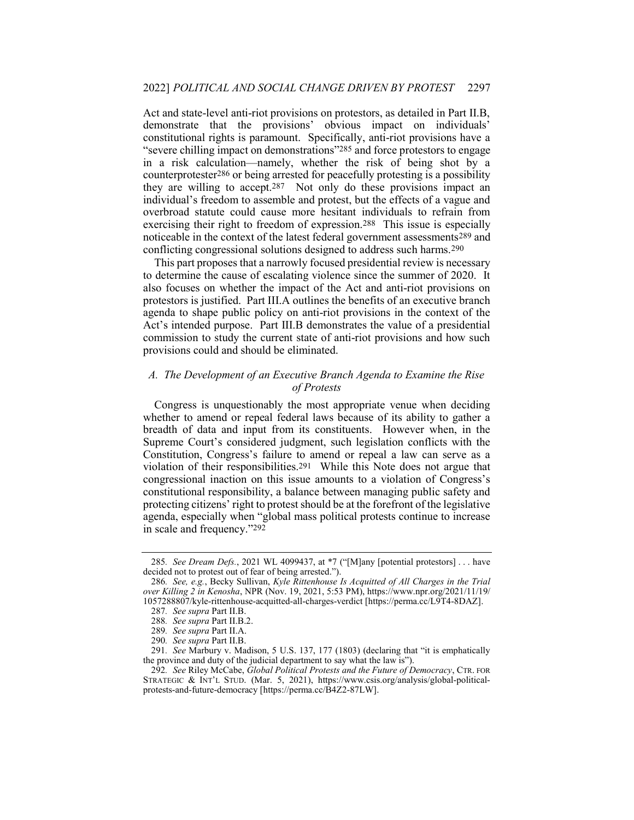Act and state-level anti-riot provisions on protestors, as detailed in Part II.B, demonstrate that the provisions' obvious impact on individuals' constitutional rights is paramount. Specifically, anti-riot provisions have a "severe chilling impact on demonstrations"285 and force protestors to engage in a risk calculation—namely, whether the risk of being shot by a counterprotester286 or being arrested for peacefully protesting is a possibility they are willing to accept.287 Not only do these provisions impact an individual's freedom to assemble and protest, but the effects of a vague and overbroad statute could cause more hesitant individuals to refrain from exercising their right to freedom of expression.288 This issue is especially noticeable in the context of the latest federal government assessments289 and conflicting congressional solutions designed to address such harms.290

This part proposes that a narrowly focused presidential review is necessary to determine the cause of escalating violence since the summer of 2020. It also focuses on whether the impact of the Act and anti-riot provisions on protestors is justified. Part III.A outlines the benefits of an executive branch agenda to shape public policy on anti-riot provisions in the context of the Act's intended purpose. Part III.B demonstrates the value of a presidential commission to study the current state of anti-riot provisions and how such provisions could and should be eliminated.

# A. The Development of an Executive Branch Agenda to Examine the Rise of Protests

Congress is unquestionably the most appropriate venue when deciding whether to amend or repeal federal laws because of its ability to gather a breadth of data and input from its constituents. However when, in the Supreme Court's considered judgment, such legislation conflicts with the Constitution, Congress's failure to amend or repeal a law can serve as a violation of their responsibilities.291 While this Note does not argue that congressional inaction on this issue amounts to a violation of Congress's constitutional responsibility, a balance between managing public safety and protecting citizens' right to protest should be at the forefront of the legislative agenda, especially when "global mass political protests continue to increase in scale and frequency."292

<sup>285.</sup> See Dream Defs., 2021 WL 4099437, at \*7 ("[M]any [potential protestors] . . . have decided not to protest out of fear of being arrested.").

<sup>286.</sup> See, e.g., Becky Sullivan, Kyle Rittenhouse Is Acquitted of All Charges in the Trial over Killing 2 in Kenosha, NPR (Nov. 19, 2021, 5:53 PM), https://www.npr.org/2021/11/19/ 1057288807/kyle-rittenhouse-acquitted-all-charges-verdict [https://perma.cc/L9T4-8DAZ].

<sup>287</sup>. See supra Part II.B.

<sup>288</sup>. See supra Part II.B.2.

<sup>289</sup>. See supra Part II.A.

<sup>290</sup>. See supra Part II.B.

<sup>291</sup>. See Marbury v. Madison, 5 U.S. 137, 177 (1803) (declaring that "it is emphatically the province and duty of the judicial department to say what the law is").

<sup>292.</sup> See Riley McCabe, Global Political Protests and the Future of Democracy, CTR. FOR STRATEGIC & INT'L STUD. (Mar. 5, 2021), https://www.csis.org/analysis/global-politicalprotests-and-future-democracy [https://perma.cc/B4Z2-87LW].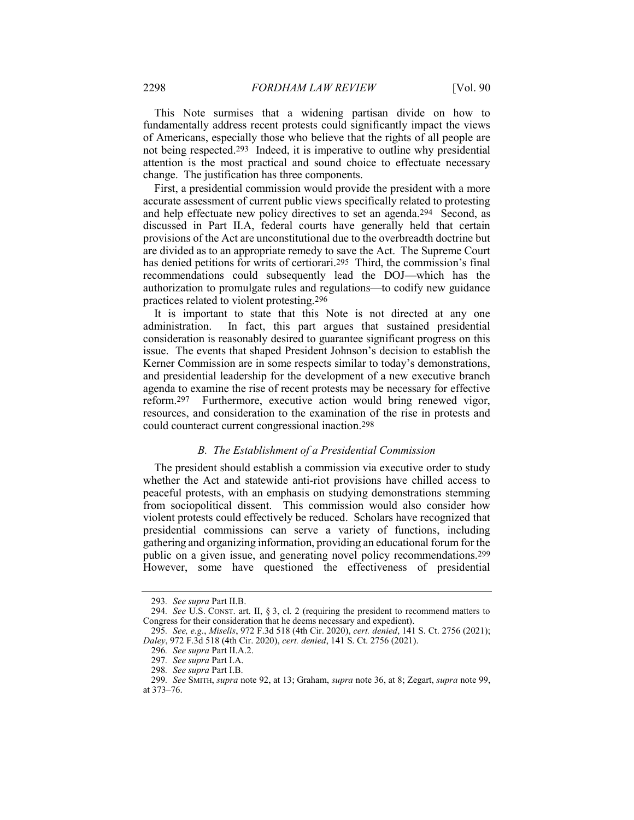This Note surmises that a widening partisan divide on how to fundamentally address recent protests could significantly impact the views of Americans, especially those who believe that the rights of all people are not being respected.293 Indeed, it is imperative to outline why presidential attention is the most practical and sound choice to effectuate necessary change. The justification has three components.

First, a presidential commission would provide the president with a more accurate assessment of current public views specifically related to protesting and help effectuate new policy directives to set an agenda.294 Second, as discussed in Part II.A, federal courts have generally held that certain provisions of the Act are unconstitutional due to the overbreadth doctrine but are divided as to an appropriate remedy to save the Act. The Supreme Court has denied petitions for writs of certiorari.295 Third, the commission's final recommendations could subsequently lead the DOJ—which has the authorization to promulgate rules and regulations—to codify new guidance practices related to violent protesting.296

It is important to state that this Note is not directed at any one administration. In fact, this part argues that sustained presidential consideration is reasonably desired to guarantee significant progress on this issue. The events that shaped President Johnson's decision to establish the Kerner Commission are in some respects similar to today's demonstrations, and presidential leadership for the development of a new executive branch agenda to examine the rise of recent protests may be necessary for effective reform.297 Furthermore, executive action would bring renewed vigor, resources, and consideration to the examination of the rise in protests and could counteract current congressional inaction.298

#### B. The Establishment of a Presidential Commission

The president should establish a commission via executive order to study whether the Act and statewide anti-riot provisions have chilled access to peaceful protests, with an emphasis on studying demonstrations stemming from sociopolitical dissent. This commission would also consider how violent protests could effectively be reduced. Scholars have recognized that presidential commissions can serve a variety of functions, including gathering and organizing information, providing an educational forum for the public on a given issue, and generating novel policy recommendations.299 However, some have questioned the effectiveness of presidential

<sup>293</sup>. See supra Part II.B.

<sup>294.</sup> See U.S. CONST. art. II,  $\S 3$ , cl. 2 (requiring the president to recommend matters to Congress for their consideration that he deems necessary and expedient).

<sup>295</sup>. See, e.g., Miselis, 972 F.3d 518 (4th Cir. 2020), cert. denied, 141 S. Ct. 2756 (2021); Daley, 972 F.3d 518 (4th Cir. 2020), cert. denied, 141 S. Ct. 2756 (2021).

<sup>296</sup>. See supra Part II.A.2.

<sup>297</sup>. See supra Part I.A.

<sup>298</sup>. See supra Part I.B.

<sup>299</sup>. See SMITH, supra note 92, at 13; Graham, supra note 36, at 8; Zegart, supra note 99, at 373–76.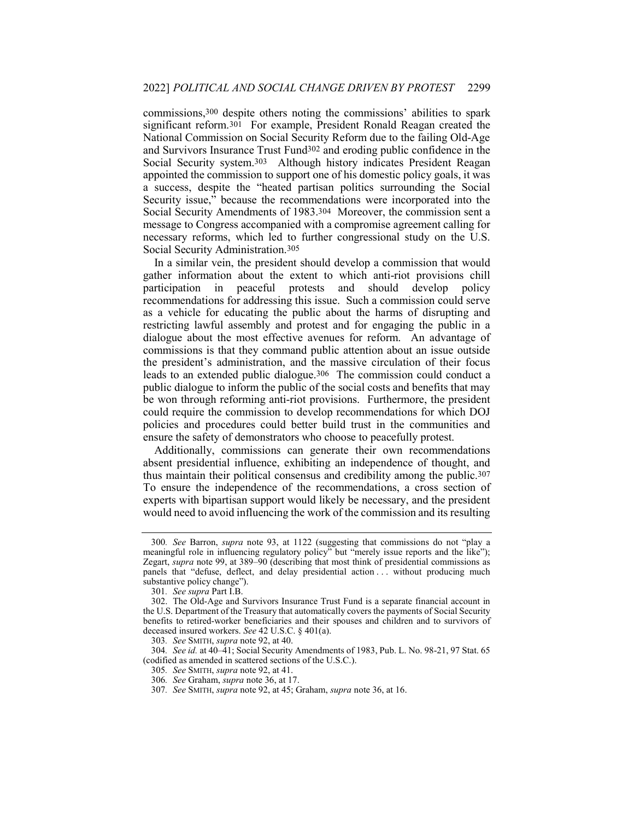commissions,300 despite others noting the commissions' abilities to spark significant reform.301 For example, President Ronald Reagan created the National Commission on Social Security Reform due to the failing Old-Age and Survivors Insurance Trust Fund302 and eroding public confidence in the Social Security system.303 Although history indicates President Reagan appointed the commission to support one of his domestic policy goals, it was a success, despite the "heated partisan politics surrounding the Social Security issue," because the recommendations were incorporated into the Social Security Amendments of 1983.304 Moreover, the commission sent a message to Congress accompanied with a compromise agreement calling for necessary reforms, which led to further congressional study on the U.S. Social Security Administration.305

In a similar vein, the president should develop a commission that would gather information about the extent to which anti-riot provisions chill participation in peaceful protests and should develop policy recommendations for addressing this issue. Such a commission could serve as a vehicle for educating the public about the harms of disrupting and restricting lawful assembly and protest and for engaging the public in a dialogue about the most effective avenues for reform. An advantage of commissions is that they command public attention about an issue outside the president's administration, and the massive circulation of their focus leads to an extended public dialogue.306 The commission could conduct a public dialogue to inform the public of the social costs and benefits that may be won through reforming anti-riot provisions. Furthermore, the president could require the commission to develop recommendations for which DOJ policies and procedures could better build trust in the communities and ensure the safety of demonstrators who choose to peacefully protest.

Additionally, commissions can generate their own recommendations absent presidential influence, exhibiting an independence of thought, and thus maintain their political consensus and credibility among the public.307 To ensure the independence of the recommendations, a cross section of experts with bipartisan support would likely be necessary, and the president would need to avoid influencing the work of the commission and its resulting

<sup>300</sup>. See Barron, supra note 93, at 1122 (suggesting that commissions do not "play a meaningful role in influencing regulatory policy" but "merely issue reports and the like"); Zegart, supra note 99, at 389–90 (describing that most think of presidential commissions as panels that "defuse, deflect, and delay presidential action . . . without producing much substantive policy change").

<sup>301</sup>. See supra Part I.B.

 <sup>302.</sup> The Old-Age and Survivors Insurance Trust Fund is a separate financial account in the U.S. Department of the Treasury that automatically covers the payments of Social Security benefits to retired-worker beneficiaries and their spouses and children and to survivors of deceased insured workers. See 42 U.S.C. § 401(a).

<sup>303</sup>. See SMITH, supra note 92, at 40.

<sup>304</sup>. See id. at 40–41; Social Security Amendments of 1983, Pub. L. No. 98-21, 97 Stat. 65 (codified as amended in scattered sections of the U.S.C.).

<sup>305</sup>. See SMITH, supra note 92, at 41.

<sup>306</sup>. See Graham, supra note 36, at 17.

<sup>307</sup>. See SMITH, supra note 92, at 45; Graham, supra note 36, at 16.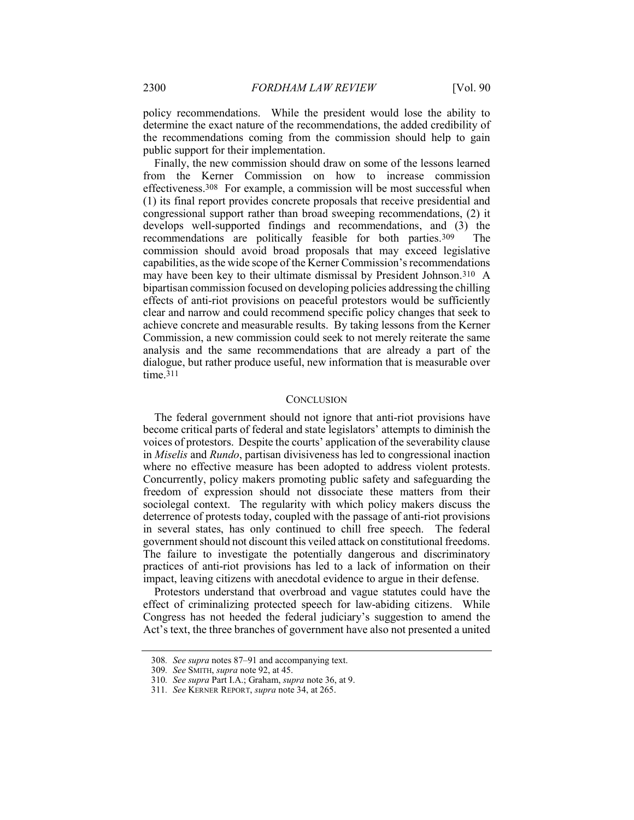policy recommendations. While the president would lose the ability to determine the exact nature of the recommendations, the added credibility of the recommendations coming from the commission should help to gain public support for their implementation.

Finally, the new commission should draw on some of the lessons learned from the Kerner Commission on how to increase commission effectiveness.308 For example, a commission will be most successful when (1) its final report provides concrete proposals that receive presidential and congressional support rather than broad sweeping recommendations, (2) it develops well-supported findings and recommendations, and (3) the recommendations are politically feasible for both parties.309 The commission should avoid broad proposals that may exceed legislative capabilities, as the wide scope of the Kerner Commission's recommendations may have been key to their ultimate dismissal by President Johnson.310 A bipartisan commission focused on developing policies addressing the chilling effects of anti-riot provisions on peaceful protestors would be sufficiently clear and narrow and could recommend specific policy changes that seek to achieve concrete and measurable results. By taking lessons from the Kerner Commission, a new commission could seek to not merely reiterate the same analysis and the same recommendations that are already a part of the dialogue, but rather produce useful, new information that is measurable over time.311

#### **CONCLUSION**

The federal government should not ignore that anti-riot provisions have become critical parts of federal and state legislators' attempts to diminish the voices of protestors. Despite the courts' application of the severability clause in Miselis and Rundo, partisan divisiveness has led to congressional inaction where no effective measure has been adopted to address violent protests. Concurrently, policy makers promoting public safety and safeguarding the freedom of expression should not dissociate these matters from their sociolegal context. The regularity with which policy makers discuss the deterrence of protests today, coupled with the passage of anti-riot provisions in several states, has only continued to chill free speech. The federal government should not discount this veiled attack on constitutional freedoms. The failure to investigate the potentially dangerous and discriminatory practices of anti-riot provisions has led to a lack of information on their impact, leaving citizens with anecdotal evidence to argue in their defense.

Protestors understand that overbroad and vague statutes could have the effect of criminalizing protected speech for law-abiding citizens. While Congress has not heeded the federal judiciary's suggestion to amend the Act's text, the three branches of government have also not presented a united

<sup>308</sup>. See supra notes 87–91 and accompanying text.

<sup>309</sup>. See SMITH, supra note 92, at 45.

<sup>310</sup>. See supra Part I.A.; Graham, supra note 36, at 9.

<sup>311</sup>. See KERNER REPORT, supra note 34, at 265.